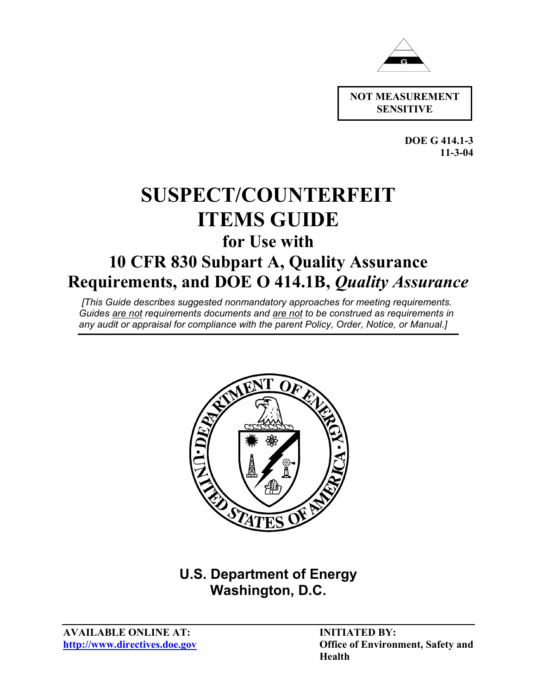

**SENSITIVE**

**DOE G 414.1-3 11-3-04** 

# **SUSPECT/COUNTERFEIT ITEMS GUIDE**

# **for Use with**

# **10 CFR 830 Subpart A, Quality Assurance Requirements, and DOE O 414.1B,** *Quality Assurance*

 *[This Guide describes suggested nonmandatory approaches for meeting requirements. Guides are not requirements documents and are not to be construed as requirements in any audit or appraisal for compliance with the parent Policy, Order, Notice, or Manual.]*



# **U.S. Department of Energy Washington, D.C.**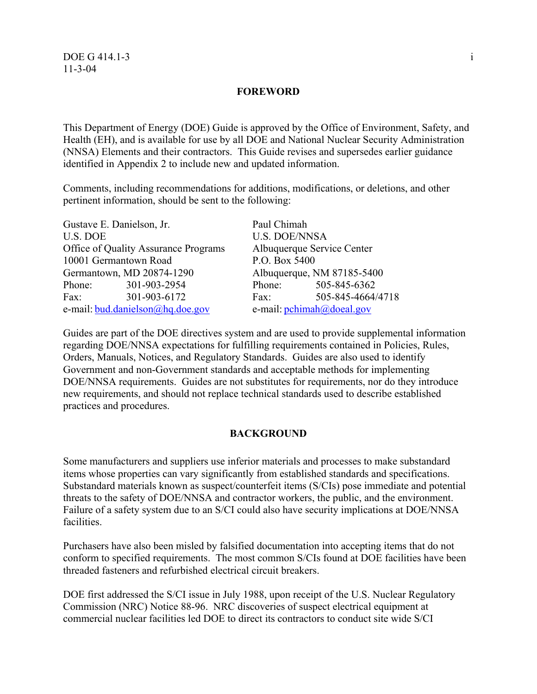#### **FOREWORD**

This Department of Energy (DOE) Guide is approved by the Office of Environment, Safety, and Health (EH), and is available for use by all DOE and National Nuclear Security Administration (NNSA) Elements and their contractors. This Guide revises and supersedes earlier guidance identified in Appendix 2 to include new and updated information.

Comments, including recommendations for additions, modifications, or deletions, and other pertinent information, should be sent to the following:

| Gustave E. Danielson, Jr.                   | Paul Chimah                                  |  |  |
|---------------------------------------------|----------------------------------------------|--|--|
| <b>U.S. DOE</b>                             | <b>U.S. DOE/NNSA</b>                         |  |  |
| <b>Office of Quality Assurance Programs</b> | Albuquerque Service Center                   |  |  |
| 10001 Germantown Road                       | P.O. Box 5400                                |  |  |
| Germantown, MD 20874-1290                   | Albuquerque, NM 87185-5400                   |  |  |
| 301-903-2954<br>Phone:                      | 505-845-6362<br>Phone:                       |  |  |
| 301-903-6172<br>Fax:                        | 505-845-4664/4718<br>Fax:                    |  |  |
| e-mail: bud.danielson@hq.doe.gov            | e-mail: $\text{pchimah}(a)\text{doe}$ al.gov |  |  |

Guides are part of the DOE directives system and are used to provide supplemental information regarding DOE/NNSA expectations for fulfilling requirements contained in Policies, Rules, Orders, Manuals, Notices, and Regulatory Standards. Guides are also used to identify Government and non-Government standards and acceptable methods for implementing DOE/NNSA requirements. Guides are not substitutes for requirements, nor do they introduce new requirements, and should not replace technical standards used to describe established practices and procedures.

#### **BACKGROUND**

Some manufacturers and suppliers use inferior materials and processes to make substandard items whose properties can vary significantly from established standards and specifications. Substandard materials known as suspect/counterfeit items (S/CIs) pose immediate and potential threats to the safety of DOE/NNSA and contractor workers, the public, and the environment. Failure of a safety system due to an S/CI could also have security implications at DOE/NNSA facilities.

Purchasers have also been misled by falsified documentation into accepting items that do not conform to specified requirements. The most common S/CIs found at DOE facilities have been threaded fasteners and refurbished electrical circuit breakers.

DOE first addressed the S/CI issue in July 1988, upon receipt of the U.S. Nuclear Regulatory Commission (NRC) Notice 88-96. NRC discoveries of suspect electrical equipment at commercial nuclear facilities led DOE to direct its contractors to conduct site wide S/CI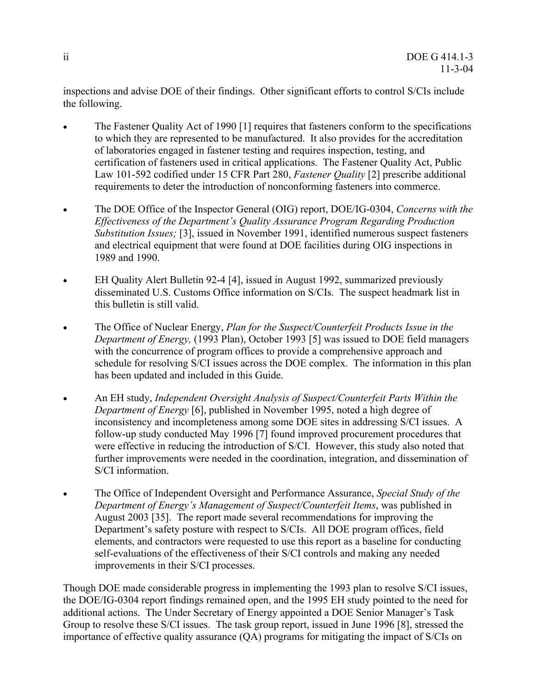inspections and advise DOE of their findings. Other significant efforts to control S/CIs include the following.

- The Fastener Quality Act of 1990 [1] requires that fasteners conform to the specifications to which they are represented to be manufactured. It also provides for the accreditation of laboratories engaged in fastener testing and requires inspection, testing, and certification of fasteners used in critical applications. The Fastener Quality Act, Public Law 101-592 codified under 15 CFR Part 280, *Fastener Quality* [2] prescribe additional requirements to deter the introduction of nonconforming fasteners into commerce.
- The DOE Office of the Inspector General (OIG) report, DOE/IG-0304, *Concerns with the Effectiveness of the Department's Quality Assurance Program Regarding Production Substitution Issues;* [3], issued in November 1991, identified numerous suspect fasteners and electrical equipment that were found at DOE facilities during OIG inspections in 1989 and 1990.
- EH Quality Alert Bulletin 92-4 [4], issued in August 1992, summarized previously disseminated U.S. Customs Office information on S/CIs. The suspect headmark list in this bulletin is still valid.
- The Office of Nuclear Energy, *Plan for the Suspect/Counterfeit Products Issue in the Department of Energy,* (1993 Plan), October 1993 [5] was issued to DOE field managers with the concurrence of program offices to provide a comprehensive approach and schedule for resolving S/CI issues across the DOE complex. The information in this plan has been updated and included in this Guide.
- An EH study, *Independent Oversight Analysis of Suspect/Counterfeit Parts Within the Department of Energy* [6], published in November 1995, noted a high degree of inconsistency and incompleteness among some DOE sites in addressing S/CI issues. A follow-up study conducted May 1996 [7] found improved procurement procedures that were effective in reducing the introduction of S/CI. However, this study also noted that further improvements were needed in the coordination, integration, and dissemination of S/CI information.
- The Office of Independent Oversight and Performance Assurance, *Special Study of the Department of Energy's Management of Suspect/Counterfeit Items*, was published in August 2003 [35]. The report made several recommendations for improving the Department's safety posture with respect to S/CIs. All DOE program offices, field elements, and contractors were requested to use this report as a baseline for conducting self-evaluations of the effectiveness of their S/CI controls and making any needed improvements in their S/CI processes.

Though DOE made considerable progress in implementing the 1993 plan to resolve S/CI issues, the DOE/IG-0304 report findings remained open, and the 1995 EH study pointed to the need for additional actions. The Under Secretary of Energy appointed a DOE Senior Manager's Task Group to resolve these S/CI issues. The task group report, issued in June 1996 [8], stressed the importance of effective quality assurance (QA) programs for mitigating the impact of S/CIs on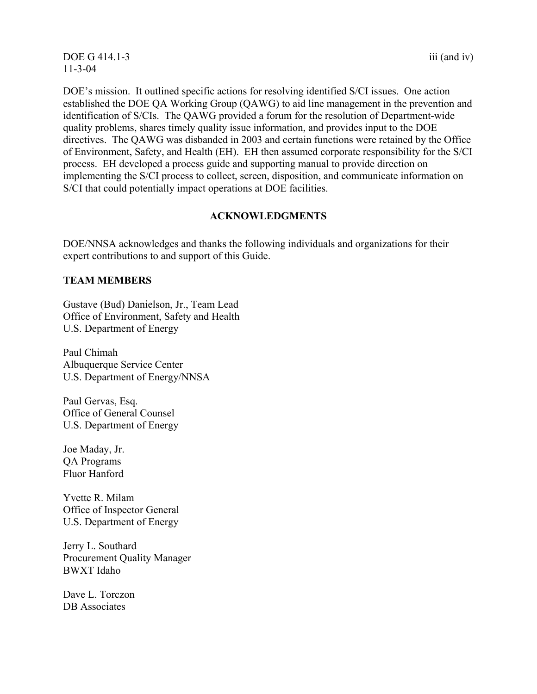#### DOE G 414.1-3 iii (and iv) 11-3-04

DOE's mission. It outlined specific actions for resolving identified S/CI issues. One action established the DOE QA Working Group (QAWG) to aid line management in the prevention and identification of S/CIs. The QAWG provided a forum for the resolution of Department-wide quality problems, shares timely quality issue information, and provides input to the DOE directives. The QAWG was disbanded in 2003 and certain functions were retained by the Office of Environment, Safety, and Health (EH). EH then assumed corporate responsibility for the S/CI process. EH developed a process guide and supporting manual to provide direction on implementing the S/CI process to collect, screen, disposition, and communicate information on S/CI that could potentially impact operations at DOE facilities.

# **ACKNOWLEDGMENTS**

DOE/NNSA acknowledges and thanks the following individuals and organizations for their expert contributions to and support of this Guide.

#### **TEAM MEMBERS**

Gustave (Bud) Danielson, Jr., Team Lead Office of Environment, Safety and Health U.S. Department of Energy

Paul Chimah Albuquerque Service Center U.S. Department of Energy/NNSA

Paul Gervas, Esq. Office of General Counsel U.S. Department of Energy

Joe Maday, Jr. QA Programs Fluor Hanford

Yvette R. Milam Office of Inspector General U.S. Department of Energy

Jerry L. Southard Procurement Quality Manager BWXT Idaho

Dave L. Torczon DB Associates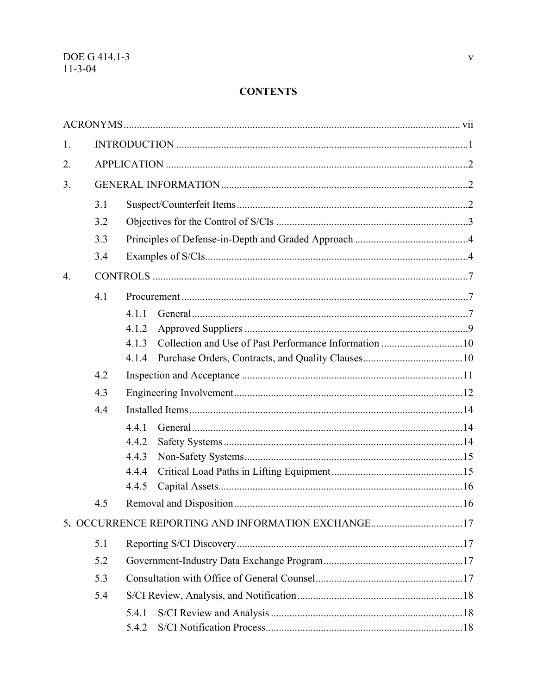# **CONTENTS**

| 1.               |     |                                                    |  |
|------------------|-----|----------------------------------------------------|--|
| 2.               |     |                                                    |  |
| 3.               |     |                                                    |  |
|                  | 3.1 |                                                    |  |
|                  | 3.2 |                                                    |  |
|                  | 3.3 |                                                    |  |
|                  | 3.4 |                                                    |  |
| $\overline{4}$ . |     |                                                    |  |
|                  | 4.1 |                                                    |  |
|                  |     | 4.1.1                                              |  |
|                  |     | 4.1.2                                              |  |
|                  |     | 4.1.3                                              |  |
|                  |     | 4.1.4                                              |  |
|                  | 4.2 |                                                    |  |
|                  | 4.3 |                                                    |  |
|                  | 4.4 |                                                    |  |
|                  |     | 4.4.1                                              |  |
|                  |     | 4.4.2                                              |  |
|                  |     | 4.4.3                                              |  |
|                  |     | 4.4.4                                              |  |
|                  |     | 4.4.5                                              |  |
|                  | 4.5 |                                                    |  |
|                  |     | 5. OCCURRENCE REPORTING AND INFORMATION EXCHANGE17 |  |
|                  | 5.1 |                                                    |  |
|                  | 5.2 |                                                    |  |
|                  | 5.3 |                                                    |  |
|                  | 5.4 |                                                    |  |
|                  |     | 5.4.1                                              |  |
|                  |     | 5.4.2                                              |  |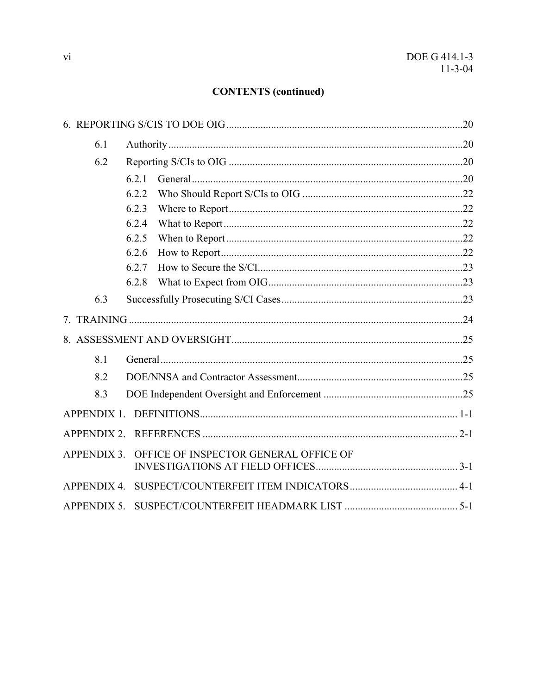# **CONTENTS** (continued)

| 6.1                |       |                                       |  |
|--------------------|-------|---------------------------------------|--|
| 6.2                |       |                                       |  |
|                    | 6.2.1 |                                       |  |
|                    | 6.2.2 |                                       |  |
|                    | 6.2.3 |                                       |  |
|                    | 6.2.4 |                                       |  |
|                    | 6.2.5 |                                       |  |
|                    | 6.2.6 |                                       |  |
|                    | 6.2.7 |                                       |  |
|                    | 6.2.8 |                                       |  |
| 6.3                |       |                                       |  |
|                    |       |                                       |  |
|                    |       |                                       |  |
| 8.1                |       |                                       |  |
| 8.2                |       |                                       |  |
| 8.3                |       |                                       |  |
| <b>APPENDIX 1.</b> |       |                                       |  |
| <b>APPENDIX 2.</b> |       |                                       |  |
| <b>APPENDIX 3.</b> |       | OFFICE OF INSPECTOR GENERAL OFFICE OF |  |
|                    |       |                                       |  |
|                    |       |                                       |  |
| <b>APPENDIX 5.</b> |       |                                       |  |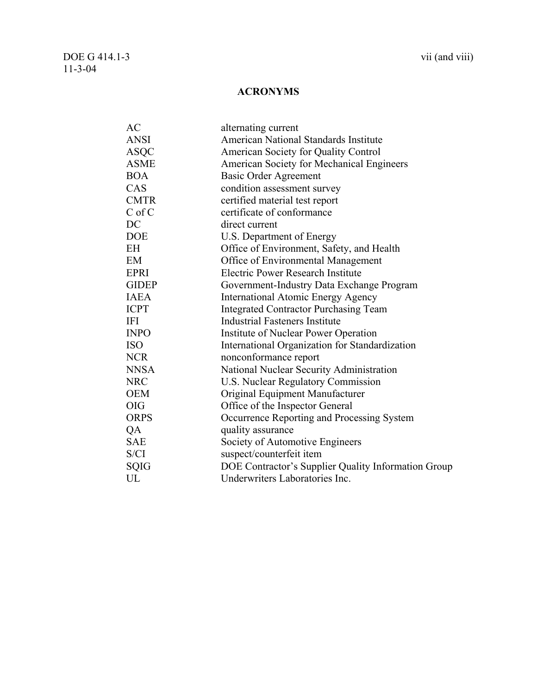# **ACRONYMS**

<span id="page-6-0"></span>

| <b>AC</b>    | alternating current                                 |
|--------------|-----------------------------------------------------|
| <b>ANSI</b>  | <b>American National Standards Institute</b>        |
| <b>ASOC</b>  | American Society for Quality Control                |
| <b>ASME</b>  | American Society for Mechanical Engineers           |
| <b>BOA</b>   | <b>Basic Order Agreement</b>                        |
| CAS          | condition assessment survey                         |
| <b>CMTR</b>  | certified material test report                      |
| $C$ of $C$   | certificate of conformance                          |
| $DC$         | direct current                                      |
| <b>DOE</b>   | U.S. Department of Energy                           |
| <b>EH</b>    | Office of Environment, Safety, and Health           |
| <b>EM</b>    | Office of Environmental Management                  |
| <b>EPRI</b>  | Electric Power Research Institute                   |
| <b>GIDEP</b> | Government-Industry Data Exchange Program           |
| <b>IAEA</b>  | <b>International Atomic Energy Agency</b>           |
| <b>ICPT</b>  | <b>Integrated Contractor Purchasing Team</b>        |
| <b>IFI</b>   | <b>Industrial Fasteners Institute</b>               |
| <b>INPO</b>  | Institute of Nuclear Power Operation                |
| <b>ISO</b>   | International Organization for Standardization      |
| <b>NCR</b>   | nonconformance report                               |
| <b>NNSA</b>  | National Nuclear Security Administration            |
| <b>NRC</b>   | <b>U.S. Nuclear Regulatory Commission</b>           |
| <b>OEM</b>   | Original Equipment Manufacturer                     |
| <b>OIG</b>   | Office of the Inspector General                     |
| <b>ORPS</b>  | Occurrence Reporting and Processing System          |
| QA           | quality assurance                                   |
| <b>SAE</b>   | Society of Automotive Engineers                     |
| S/CI         | suspect/counterfeit item                            |
| <b>SQIG</b>  | DOE Contractor's Supplier Quality Information Group |
| UL           | Underwriters Laboratories Inc.                      |
|              |                                                     |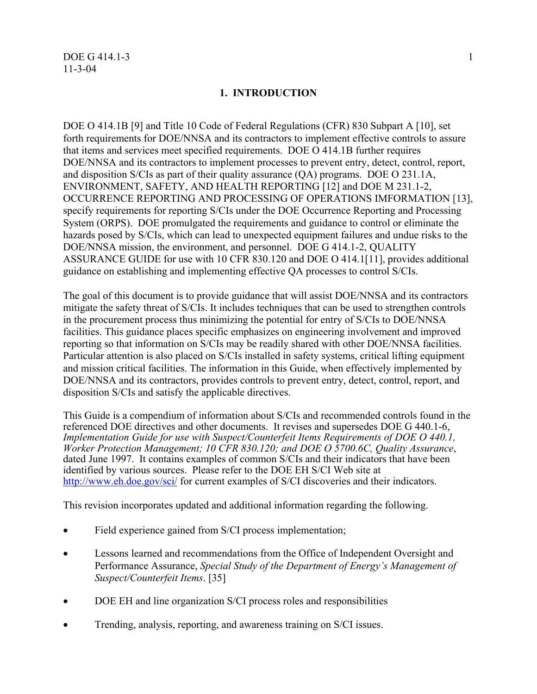#### **1. INTRODUCTION**

<span id="page-7-0"></span>DOE O 414.1B [9] and Title 10 Code of Federal Regulations (CFR) 830 Subpart A [10], set forth requirements for DOE/NNSA and its contractors to implement effective controls to assure that items and services meet specified requirements. DOE O 414.1B further requires DOE/NNSA and its contractors to implement processes to prevent entry, detect, control, report, and disposition S/CIs as part of their quality assurance (QA) programs. DOE O 231.1A, ENVIRONMENT, SAFETY, AND HEALTH REPORTING [12] and DOE M 231.1-2, OCCURRENCE REPORTING AND PROCESSING OF OPERATIONS IMFORMATION [13], specify requirements for reporting S/CIs under the DOE Occurrence Reporting and Processing System (ORPS). DOE promulgated the requirements and guidance to control or eliminate the hazards posed by S/CIs, which can lead to unexpected equipment failures and undue risks to the DOE/NNSA mission, the environment, and personnel. DOE G 414.1-2, QUALITY ASSURANCE GUIDE for use with 10 CFR 830.120 and DOE O 414.1[11], provides additional guidance on establishing and implementing effective QA processes to control S/CIs.

The goal of this document is to provide guidance that will assist DOE/NNSA and its contractors mitigate the safety threat of S/CIs. It includes techniques that can be used to strengthen controls in the procurement process thus minimizing the potential for entry of S/CIs to DOE/NNSA facilities. This guidance places specific emphasizes on engineering involvement and improved reporting so that information on S/CIs may be readily shared with other DOE/NNSA facilities. Particular attention is also placed on S/CIs installed in safety systems, critical lifting equipment and mission critical facilities. The information in this Guide, when effectively implemented by DOE/NNSA and its contractors, provides controls to prevent entry, detect, control, report, and disposition S/CIs and satisfy the applicable directives.

This Guide is a compendium of information about S/CIs and recommended controls found in the referenced DOE directives and other documents. It revises and supersedes DOE G 440.1-6, *Implementation Guide for use with Suspect/Counterfeit Items Requirements of DOE O 440.1, Worker Protection Management; 10 CFR 830.120; and DOE O 5700.6C, Quality Assurance*, dated June 1997. It contains examples of common S/CIs and their indicators that have been identified by various sources. Please refer to the DOE EH S/CI Web site at <http://www.eh.doe.gov/sci/> for current examples of S/CI discoveries and their indicators.

This revision incorporates updated and additional information regarding the following.

- Field experience gained from S/CI process implementation;
- Lessons learned and recommendations from the Office of Independent Oversight and Performance Assurance, *Special Study of the Department of Energy's Management of Suspect/Counterfeit Items*. [35]
- DOE EH and line organization S/CI process roles and responsibilities
- Trending, analysis, reporting, and awareness training on S/CI issues.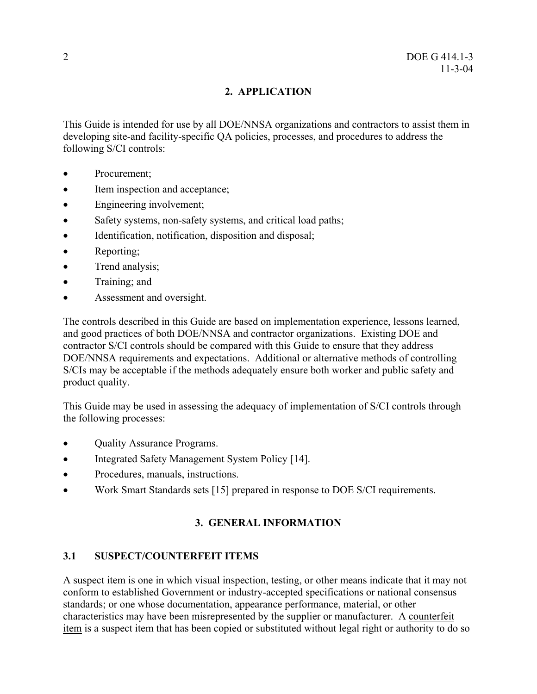# **2. APPLICATION**

<span id="page-8-0"></span>This Guide is intended for use by all DOE/NNSA organizations and contractors to assist them in developing site-and facility-specific QA policies, processes, and procedures to address the following S/CI controls:

- Procurement;
- Item inspection and acceptance;
- Engineering involvement;
- Safety systems, non-safety systems, and critical load paths;
- Identification, notification, disposition and disposal;
- Reporting:
- Trend analysis;
- Training; and
- Assessment and oversight.

The controls described in this Guide are based on implementation experience, lessons learned, and good practices of both DOE/NNSA and contractor organizations. Existing DOE and contractor S/CI controls should be compared with this Guide to ensure that they address DOE/NNSA requirements and expectations. Additional or alternative methods of controlling S/CIs may be acceptable if the methods adequately ensure both worker and public safety and product quality.

This Guide may be used in assessing the adequacy of implementation of S/CI controls through the following processes:

- Quality Assurance Programs.
- Integrated Safety Management System Policy [14].
- Procedures, manuals, instructions.
- Work Smart Standards sets [15] prepared in response to DOE S/CI requirements.

# **3. GENERAL INFORMATION**

# **3.1 SUSPECT/COUNTERFEIT ITEMS**

A suspect item is one in which visual inspection, testing, or other means indicate that it may not conform to established Government or industry-accepted specifications or national consensus standards; or one whose documentation, appearance performance, material, or other characteristics may have been misrepresented by the supplier or manufacturer. A counterfeit item is a suspect item that has been copied or substituted without legal right or authority to do so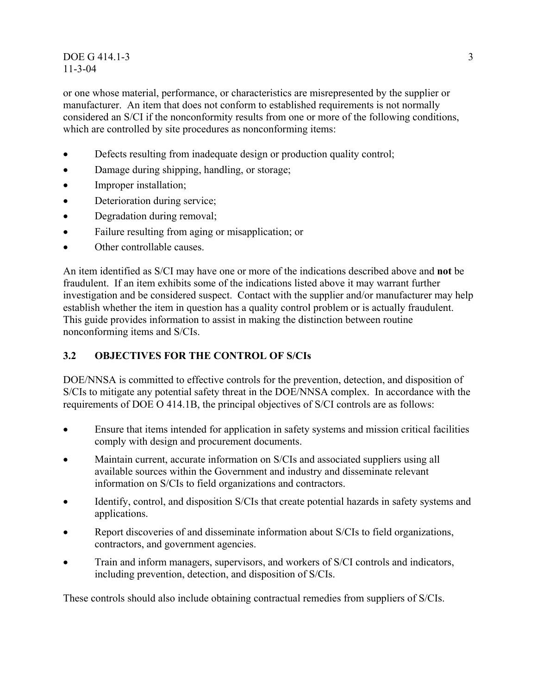#### <span id="page-9-0"></span> $\overline{DOE} G 414.1-3$  3 11-3-04

or one whose material, performance, or characteristics are misrepresented by the supplier or manufacturer. An item that does not conform to established requirements is not normally considered an S/CI if the nonconformity results from one or more of the following conditions, which are controlled by site procedures as nonconforming items:

- Defects resulting from inadequate design or production quality control;
- Damage during shipping, handling, or storage;
- Improper installation;
- Deterioration during service;
- Degradation during removal;
- Failure resulting from aging or misapplication; or
- Other controllable causes.

An item identified as S/CI may have one or more of the indications described above and **not** be fraudulent. If an item exhibits some of the indications listed above it may warrant further investigation and be considered suspect. Contact with the supplier and/or manufacturer may help establish whether the item in question has a quality control problem or is actually fraudulent. This guide provides information to assist in making the distinction between routine nonconforming items and S/CIs.

# **3.2 OBJECTIVES FOR THE CONTROL OF S/CIs**

DOE/NNSA is committed to effective controls for the prevention, detection, and disposition of S/CIs to mitigate any potential safety threat in the DOE/NNSA complex. In accordance with the requirements of DOE O 414.1B, the principal objectives of S/CI controls are as follows:

- Ensure that items intended for application in safety systems and mission critical facilities comply with design and procurement documents.
- Maintain current, accurate information on S/CIs and associated suppliers using all available sources within the Government and industry and disseminate relevant information on S/CIs to field organizations and contractors.
- Identify, control, and disposition S/CIs that create potential hazards in safety systems and applications.
- Report discoveries of and disseminate information about S/CIs to field organizations, contractors, and government agencies.
- Train and inform managers, supervisors, and workers of S/CI controls and indicators, including prevention, detection, and disposition of S/CIs.

These controls should also include obtaining contractual remedies from suppliers of S/CIs.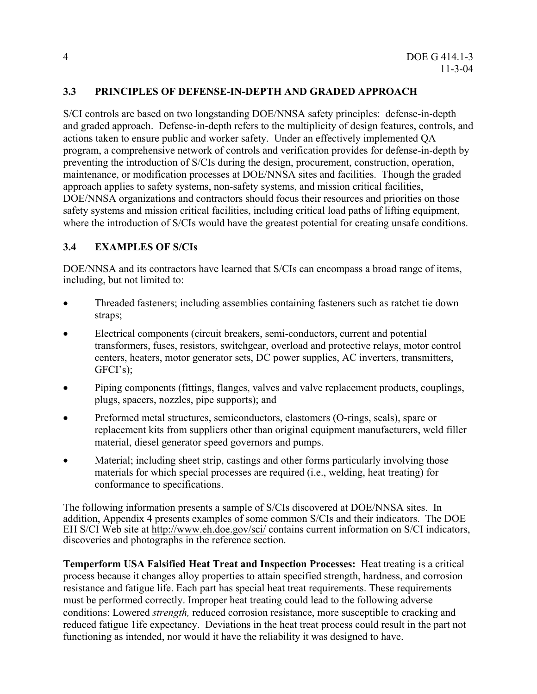# <span id="page-10-0"></span>**3.3 PRINCIPLES OF DEFENSE-IN-DEPTH AND GRADED APPROACH**

S/CI controls are based on two longstanding DOE/NNSA safety principles: defense-in-depth and graded approach. Defense-in-depth refers to the multiplicity of design features, controls, and actions taken to ensure public and worker safety. Under an effectively implemented QA program, a comprehensive network of controls and verification provides for defense-in-depth by preventing the introduction of S/CIs during the design, procurement, construction, operation, maintenance, or modification processes at DOE/NNSA sites and facilities. Though the graded approach applies to safety systems, non-safety systems, and mission critical facilities, DOE/NNSA organizations and contractors should focus their resources and priorities on those safety systems and mission critical facilities, including critical load paths of lifting equipment, where the introduction of S/CIs would have the greatest potential for creating unsafe conditions.

### **3.4 EXAMPLES OF S/CIs**

DOE/NNSA and its contractors have learned that S/CIs can encompass a broad range of items, including, but not limited to:

- Threaded fasteners; including assemblies containing fasteners such as ratchet tie down straps;
- Electrical components (circuit breakers, semi-conductors, current and potential transformers, fuses, resistors, switchgear, overload and protective relays, motor control centers, heaters, motor generator sets, DC power supplies, AC inverters, transmitters, GFCI's);
- Piping components (fittings, flanges, valves and valve replacement products, couplings, plugs, spacers, nozzles, pipe supports); and
- Preformed metal structures, semiconductors, elastomers (O-rings, seals), spare or replacement kits from suppliers other than original equipment manufacturers, weld filler material, diesel generator speed governors and pumps.
- Material; including sheet strip, castings and other forms particularly involving those materials for which special processes are required (i.e., welding, heat treating) for conformance to specifications.

The following information presents a sample of S/CIs discovered at DOE/NNSA sites. In addition, Appendix 4 presents examples of some common S/CIs and their indicators. The DOE EH S/CI Web site at <http://www.eh.doe.gov/sci/> contains current information on S/CI indicators, discoveries and photographs in the reference section.

**Temperform USA Falsified Heat Treat and Inspection Processes:** Heat treating is a critical process because it changes alloy properties to attain specified strength, hardness, and corrosion resistance and fatigue life. Each part has special heat treat requirements. These requirements must be performed correctly. Improper heat treating could lead to the following adverse conditions: Lowered *strength,* reduced corrosion resistance, more susceptible to cracking and reduced fatigue 1ife expectancy. Deviations in the heat treat process could result in the part not functioning as intended, nor would it have the reliability it was designed to have.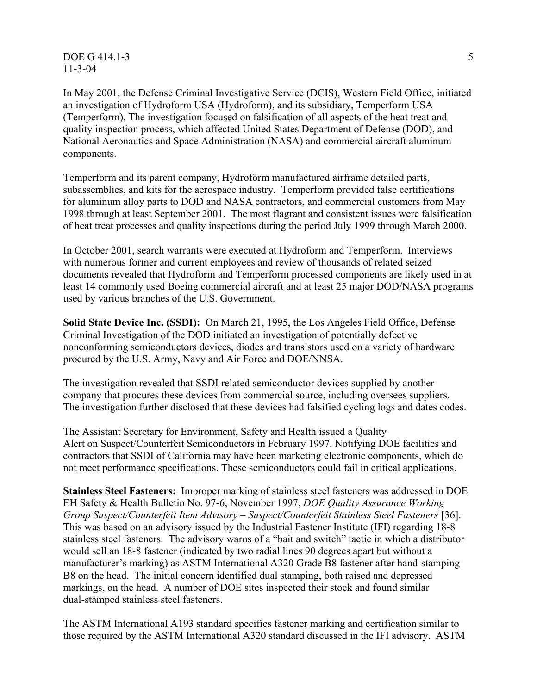$\overline{DOE}$  G 414.1-3  $\overline{5}$ 11-3-04

In May 2001, the Defense Criminal Investigative Service (DCIS), Western Field Office, initiated an investigation of Hydroform USA (Hydroform), and its subsidiary, Temperform USA (Temperform), The investigation focused on falsification of all aspects of the heat treat and quality inspection process, which affected United States Department of Defense (DOD), and National Aeronautics and Space Administration (NASA) and commercial aircraft aluminum components.

Temperform and its parent company, Hydroform manufactured airframe detailed parts, subassemblies, and kits for the aerospace industry. Temperform provided false certifications for aluminum alloy parts to DOD and NASA contractors, and commercial customers from May 1998 through at least September 2001. The most flagrant and consistent issues were falsification of heat treat processes and quality inspections during the period July 1999 through March 2000.

In October 2001, search warrants were executed at Hydroform and Temperform. Interviews with numerous former and current employees and review of thousands of related seized documents revealed that Hydroform and Temperform processed components are likely used in at least 14 commonly used Boeing commercial aircraft and at least 25 major DOD/NASA programs used by various branches of the U.S. Government.

**Solid State Device Inc. (SSDI):** On March 21, 1995, the Los Angeles Field Office, Defense Criminal Investigation of the DOD initiated an investigation of potentially defective nonconforming semiconductors devices, diodes and transistors used on a variety of hardware procured by the U.S. Army, Navy and Air Force and DOE/NNSA.

The investigation revealed that SSDI related semiconductor devices supplied by another company that procures these devices from commercial source, including oversees suppliers. The investigation further disclosed that these devices had falsified cycling logs and dates codes.

The Assistant Secretary for Environment, Safety and Health issued a Quality Alert on Suspect/Counterfeit Semiconductors in February 1997. Notifying DOE facilities and contractors that SSDI of California may have been marketing electronic components, which do not meet performance specifications. These semiconductors could fail in critical applications.

**Stainless Steel Fasteners:** Improper marking of stainless steel fasteners was addressed in DOE EH Safety & Health Bulletin No. 97-6, November 1997, *DOE Quality Assurance Working Group Suspect/Counterfeit Item Advisory – Suspect/Counterfeit Stainless Steel Fasteners* [36]. This was based on an advisory issued by the Industrial Fastener Institute (IFI) regarding 18-8 stainless steel fasteners. The advisory warns of a "bait and switch" tactic in which a distributor would sell an 18-8 fastener (indicated by two radial lines 90 degrees apart but without a manufacturer's marking) as ASTM International A320 Grade B8 fastener after hand-stamping B8 on the head. The initial concern identified dual stamping, both raised and depressed markings, on the head. A number of DOE sites inspected their stock and found similar dual-stamped stainless steel fasteners.

The ASTM International A193 standard specifies fastener marking and certification similar to those required by the ASTM International A320 standard discussed in the IFI advisory. ASTM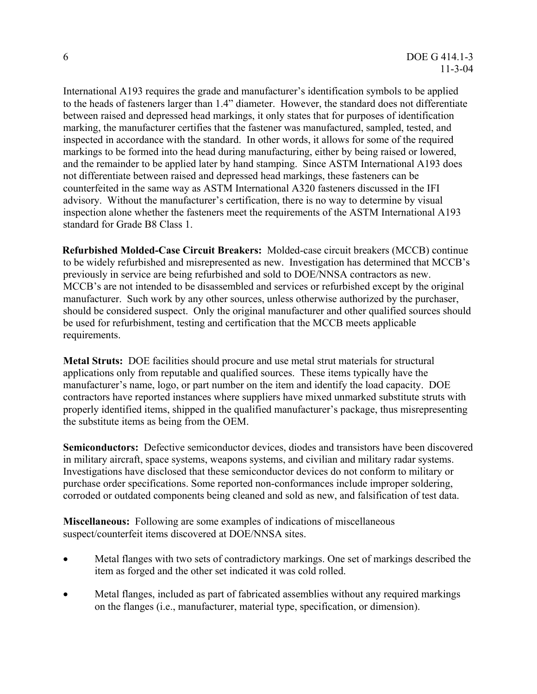International A193 requires the grade and manufacturer's identification symbols to be applied to the heads of fasteners larger than 1.4" diameter. However, the standard does not differentiate between raised and depressed head markings, it only states that for purposes of identification marking, the manufacturer certifies that the fastener was manufactured, sampled, tested, and inspected in accordance with the standard. In other words, it allows for some of the required markings to be formed into the head during manufacturing, either by being raised or lowered, and the remainder to be applied later by hand stamping. Since ASTM International A193 does not differentiate between raised and depressed head markings, these fasteners can be counterfeited in the same way as ASTM International A320 fasteners discussed in the IFI advisory. Without the manufacturer's certification, there is no way to determine by visual inspection alone whether the fasteners meet the requirements of the ASTM International A193 standard for Grade B8 Class 1.

**Refurbished Molded-Case Circuit Breakers:** Molded-case circuit breakers (MCCB) continue to be widely refurbished and misrepresented as new. Investigation has determined that MCCB's previously in service are being refurbished and sold to DOE/NNSA contractors as new. MCCB's are not intended to be disassembled and services or refurbished except by the original manufacturer. Such work by any other sources, unless otherwise authorized by the purchaser, should be considered suspect. Only the original manufacturer and other qualified sources should be used for refurbishment, testing and certification that the MCCB meets applicable requirements.

**Metal Struts:** DOE facilities should procure and use metal strut materials for structural applications only from reputable and qualified sources. These items typically have the manufacturer's name, logo, or part number on the item and identify the load capacity. DOE contractors have reported instances where suppliers have mixed unmarked substitute struts with properly identified items, shipped in the qualified manufacturer's package, thus misrepresenting the substitute items as being from the OEM.

**Semiconductors:** Defective semiconductor devices, diodes and transistors have been discovered in military aircraft, space systems, weapons systems, and civilian and military radar systems. Investigations have disclosed that these semiconductor devices do not conform to military or purchase order specifications. Some reported non-conformances include improper soldering, corroded or outdated components being cleaned and sold as new, and falsification of test data.

**Miscellaneous:** Following are some examples of indications of miscellaneous suspect/counterfeit items discovered at DOE/NNSA sites.

- Metal flanges with two sets of contradictory markings. One set of markings described the item as forged and the other set indicated it was cold rolled.
- Metal flanges, included as part of fabricated assemblies without any required markings on the flanges (i.e., manufacturer, material type, specification, or dimension).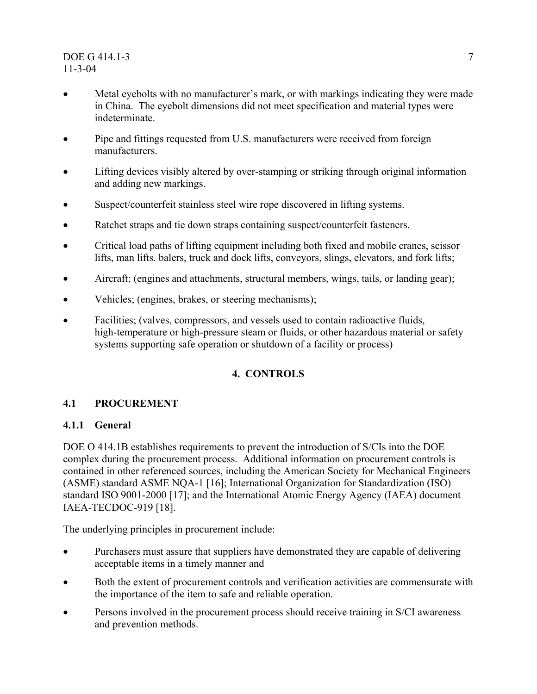## <span id="page-13-0"></span>DOE G 414.1-3 7 11-3-04

- Metal eyebolts with no manufacturer's mark, or with markings indicating they were made in China. The eyebolt dimensions did not meet specification and material types were indeterminate.
- Pipe and fittings requested from U.S. manufacturers were received from foreign manufacturers.
- Lifting devices visibly altered by over-stamping or striking through original information and adding new markings.
- Suspect/counterfeit stainless steel wire rope discovered in lifting systems.
- Ratchet straps and tie down straps containing suspect/counterfeit fasteners.
- Critical load paths of lifting equipment including both fixed and mobile cranes, scissor lifts, man lifts. balers, truck and dock lifts, conveyors, slings, elevators, and fork lifts;
- Aircraft; (engines and attachments, structural members, wings, tails, or landing gear);
- Vehicles; (engines, brakes, or steering mechanisms);
- Facilities: (valves, compressors, and vessels used to contain radioactive fluids, high-temperature or high-pressure steam or fluids, or other hazardous material or safety systems supporting safe operation or shutdown of a facility or process)

# **4. CONTROLS**

# **4.1 PROCUREMENT**

# **4.1.1 General**

DOE O 414.1B establishes requirements to prevent the introduction of S/CIs into the DOE complex during the procurement process. Additional information on procurement controls is contained in other referenced sources, including the American Society for Mechanical Engineers (ASME) standard ASME NQA-1 [16]; International Organization for Standardization (ISO) standard ISO 9001-2000 [17]; and the International Atomic Energy Agency (IAEA) document IAEA-TECDOC-919 [18].

The underlying principles in procurement include:

- Purchasers must assure that suppliers have demonstrated they are capable of delivering acceptable items in a timely manner and
- Both the extent of procurement controls and verification activities are commensurate with the importance of the item to safe and reliable operation.
- Persons involved in the procurement process should receive training in S/CI awareness and prevention methods.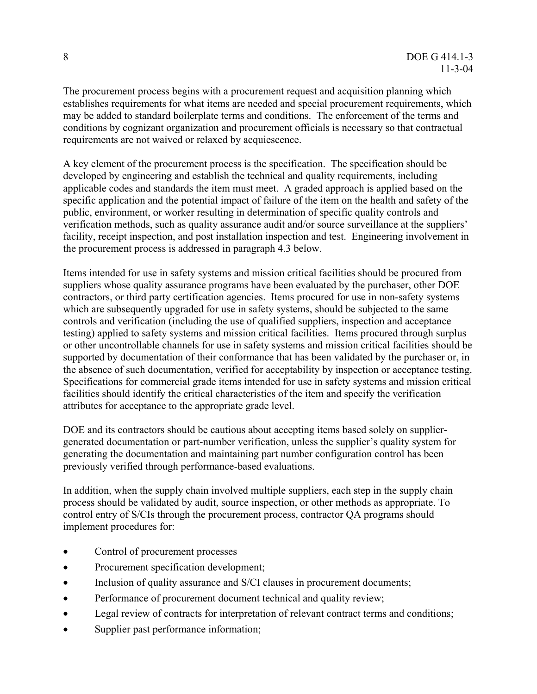The procurement process begins with a procurement request and acquisition planning which establishes requirements for what items are needed and special procurement requirements, which may be added to standard boilerplate terms and conditions. The enforcement of the terms and conditions by cognizant organization and procurement officials is necessary so that contractual requirements are not waived or relaxed by acquiescence.

A key element of the procurement process is the specification. The specification should be developed by engineering and establish the technical and quality requirements, including applicable codes and standards the item must meet. A graded approach is applied based on the specific application and the potential impact of failure of the item on the health and safety of the public, environment, or worker resulting in determination of specific quality controls and verification methods, such as quality assurance audit and/or source surveillance at the suppliers' facility, receipt inspection, and post installation inspection and test. Engineering involvement in the procurement process is addressed in paragraph 4.3 below.

Items intended for use in safety systems and mission critical facilities should be procured from suppliers whose quality assurance programs have been evaluated by the purchaser, other DOE contractors, or third party certification agencies. Items procured for use in non-safety systems which are subsequently upgraded for use in safety systems, should be subjected to the same controls and verification (including the use of qualified suppliers, inspection and acceptance testing) applied to safety systems and mission critical facilities. Items procured through surplus or other uncontrollable channels for use in safety systems and mission critical facilities should be supported by documentation of their conformance that has been validated by the purchaser or, in the absence of such documentation, verified for acceptability by inspection or acceptance testing. Specifications for commercial grade items intended for use in safety systems and mission critical facilities should identify the critical characteristics of the item and specify the verification attributes for acceptance to the appropriate grade level.

DOE and its contractors should be cautious about accepting items based solely on suppliergenerated documentation or part-number verification, unless the supplier's quality system for generating the documentation and maintaining part number configuration control has been previously verified through performance-based evaluations.

In addition, when the supply chain involved multiple suppliers, each step in the supply chain process should be validated by audit, source inspection, or other methods as appropriate. To control entry of S/CIs through the procurement process, contractor QA programs should implement procedures for:

- Control of procurement processes
- Procurement specification development;
- Inclusion of quality assurance and S/CI clauses in procurement documents;
- Performance of procurement document technical and quality review;
- Legal review of contracts for interpretation of relevant contract terms and conditions;
- Supplier past performance information;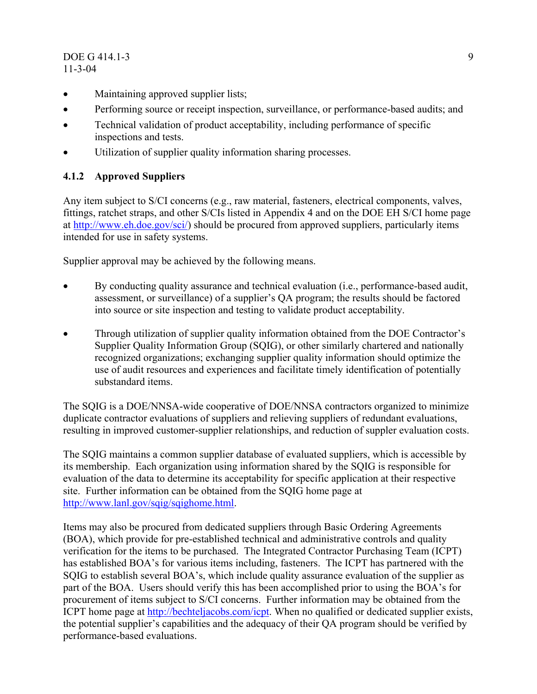### <span id="page-15-0"></span>DOE G 414.1-3 9 11-3-04

- Maintaining approved supplier lists;
- Performing source or receipt inspection, surveillance, or performance-based audits; and
- Technical validation of product acceptability, including performance of specific inspections and tests.
- Utilization of supplier quality information sharing processes.

# **4.1.2 Approved Suppliers**

Any item subject to S/CI concerns (e.g., raw material, fasteners, electrical components, valves, fittings, ratchet straps, and other S/CIs listed in Appendix 4 and on the DOE EH S/CI home page at <http://www.eh.doe.gov/sci/>) should be procured from approved suppliers, particularly items intended for use in safety systems.

Supplier approval may be achieved by the following means.

- By conducting quality assurance and technical evaluation (i.e., performance-based audit, assessment, or surveillance) of a supplier's QA program; the results should be factored into source or site inspection and testing to validate product acceptability.
- Through utilization of supplier quality information obtained from the DOE Contractor's Supplier Quality Information Group (SQIG), or other similarly chartered and nationally recognized organizations; exchanging supplier quality information should optimize the use of audit resources and experiences and facilitate timely identification of potentially substandard items.

The SQIG is a DOE/NNSA-wide cooperative of DOE/NNSA contractors organized to minimize duplicate contractor evaluations of suppliers and relieving suppliers of redundant evaluations, resulting in improved customer-supplier relationships, and reduction of suppler evaluation costs.

The SQIG maintains a common supplier database of evaluated suppliers, which is accessible by its membership. Each organization using information shared by the SQIG is responsible for evaluation of the data to determine its acceptability for specific application at their respective site. Further information can be obtained from the SQIG home page at [http://www.lanl.gov/sqig/sqighome.html.](http://www.lanl.gov/sqig/sqighome.html)

Items may also be procured from dedicated suppliers through Basic Ordering Agreements (BOA), which provide for pre-established technical and administrative controls and quality verification for the items to be purchased. The Integrated Contractor Purchasing Team (ICPT) has established BOA's for various items including, fasteners. The ICPT has partnered with the SQIG to establish several BOA's, which include quality assurance evaluation of the supplier as part of the BOA. Users should verify this has been accomplished prior to using the BOA's for procurement of items subject to S/CI concerns. Further information may be obtained from the ICPT home page at<http://bechteljacobs.com/icpt>. When no qualified or dedicated supplier exists, the potential supplier's capabilities and the adequacy of their QA program should be verified by performance-based evaluations.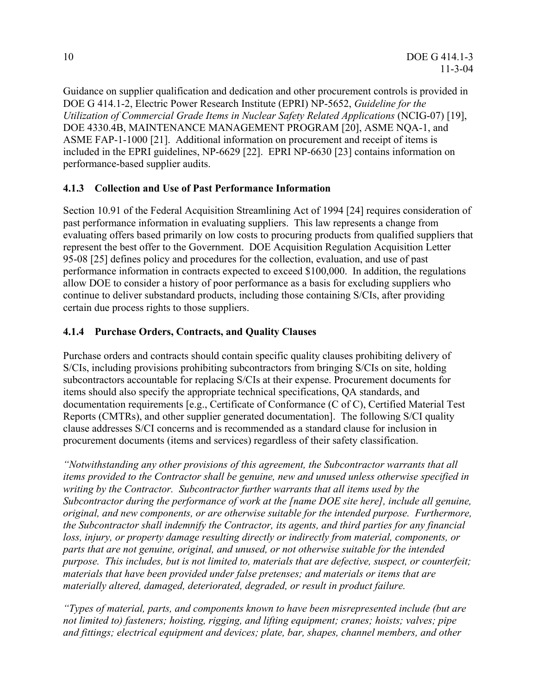<span id="page-16-0"></span>Guidance on supplier qualification and dedication and other procurement controls is provided in DOE G 414.1-2, Electric Power Research Institute (EPRI) NP-5652, *Guideline for the Utilization of Commercial Grade Items in Nuclear Safety Related Applications* (NCIG-07) [19], DOE 4330.4B, MAINTENANCE MANAGEMENT PROGRAM [20], ASME NQA-1, and ASME FAP-1-1000 [21]. Additional information on procurement and receipt of items is included in the EPRI guidelines, NP-6629 [22]. EPRI NP-6630 [23] contains information on performance-based supplier audits.

# **4.1.3 Collection and Use of Past Performance Information**

Section 10.91 of the Federal Acquisition Streamlining Act of 1994 [24] requires consideration of past performance information in evaluating suppliers. This law represents a change from evaluating offers based primarily on low costs to procuring products from qualified suppliers that represent the best offer to the Government. DOE Acquisition Regulation Acquisition Letter 95-08 [25] defines policy and procedures for the collection, evaluation, and use of past performance information in contracts expected to exceed \$100,000. In addition, the regulations allow DOE to consider a history of poor performance as a basis for excluding suppliers who continue to deliver substandard products, including those containing S/CIs, after providing certain due process rights to those suppliers.

# **4.1.4 Purchase Orders, Contracts, and Quality Clauses**

Purchase orders and contracts should contain specific quality clauses prohibiting delivery of S/CIs, including provisions prohibiting subcontractors from bringing S/CIs on site, holding subcontractors accountable for replacing S/CIs at their expense. Procurement documents for items should also specify the appropriate technical specifications, QA standards, and documentation requirements [e.g., Certificate of Conformance (C of C), Certified Material Test Reports (CMTRs), and other supplier generated documentation]. The following S/CI quality clause addresses S/CI concerns and is recommended as a standard clause for inclusion in procurement documents (items and services) regardless of their safety classification.

*"Notwithstanding any other provisions of this agreement, the Subcontractor warrants that all items provided to the Contractor shall be genuine, new and unused unless otherwise specified in writing by the Contractor. Subcontractor further warrants that all items used by the Subcontractor during the performance of work at the [name DOE site here], include all genuine, original, and new components, or are otherwise suitable for the intended purpose. Furthermore, the Subcontractor shall indemnify the Contractor, its agents, and third parties for any financial loss, injury, or property damage resulting directly or indirectly from material, components, or parts that are not genuine, original, and unused, or not otherwise suitable for the intended purpose. This includes, but is not limited to, materials that are defective, suspect, or counterfeit; materials that have been provided under false pretenses; and materials or items that are materially altered, damaged, deteriorated, degraded, or result in product failure.* 

*"Types of material, parts, and components known to have been misrepresented include (but are not limited to) fasteners; hoisting, rigging, and lifting equipment; cranes; hoists; valves; pipe and fittings; electrical equipment and devices; plate, bar, shapes, channel members, and other*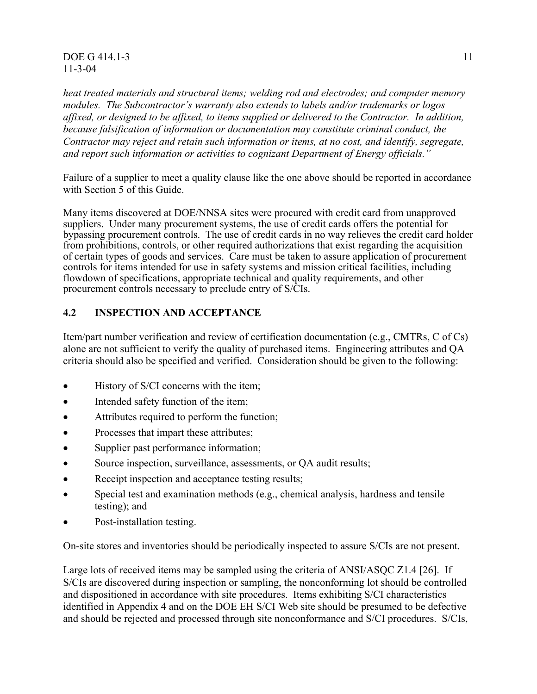#### <span id="page-17-0"></span>**DOE G 414.1-3** 11 11-3-04

*heat treated materials and structural items; welding rod and electrodes; and computer memory modules. The Subcontractor's warranty also extends to labels and/or trademarks or logos affixed, or designed to be affixed, to items supplied or delivered to the Contractor. In addition, because falsification of information or documentation may constitute criminal conduct, the Contractor may reject and retain such information or items, at no cost, and identify, segregate, and report such information or activities to cognizant Department of Energy officials."* 

Failure of a supplier to meet a quality clause like the one above should be reported in accordance with Section 5 of this Guide.

Many items discovered at DOE/NNSA sites were procured with credit card from unapproved suppliers. Under many procurement systems, the use of credit cards offers the potential for bypassing procurement controls. The use of credit cards in no way relieves the credit card holder from prohibitions, controls, or other required authorizations that exist regarding the acquisition of certain types of goods and services. Care must be taken to assure application of procurement controls for items intended for use in safety systems and mission critical facilities, including flowdown of specifications, appropriate technical and quality requirements, and other procurement controls necessary to preclude entry of S/CIs.

# **4.2 INSPECTION AND ACCEPTANCE**

Item/part number verification and review of certification documentation (e.g., CMTRs, C of Cs) alone are not sufficient to verify the quality of purchased items. Engineering attributes and QA criteria should also be specified and verified. Consideration should be given to the following:

- History of S/CI concerns with the item;
- Intended safety function of the item;
- Attributes required to perform the function;
- Processes that impart these attributes;
- Supplier past performance information;
- Source inspection, surveillance, assessments, or OA audit results;
- Receipt inspection and acceptance testing results;
- Special test and examination methods (e.g., chemical analysis, hardness and tensile testing); and
- Post-installation testing.

On-site stores and inventories should be periodically inspected to assure S/CIs are not present.

Large lots of received items may be sampled using the criteria of ANSI/ASQC Z1.4 [26]. If S/CIs are discovered during inspection or sampling, the nonconforming lot should be controlled and dispositioned in accordance with site procedures. Items exhibiting S/CI characteristics identified in Appendix 4 and on the DOE EH S/CI Web site should be presumed to be defective and should be rejected and processed through site nonconformance and S/CI procedures. S/CIs,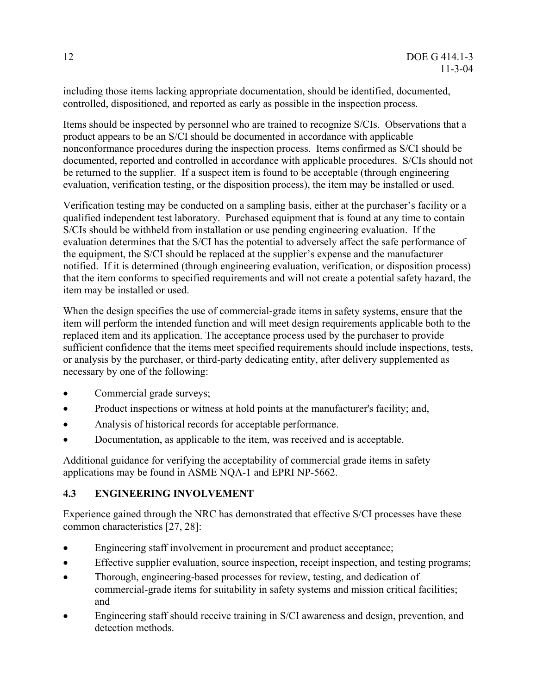<span id="page-18-0"></span>including those items lacking appropriate documentation, should be identified, documented, controlled, dispositioned, and reported as early as possible in the inspection process.

Items should be inspected by personnel who are trained to recognize S/CIs. Observations that a product appears to be an S/CI should be documented in accordance with applicable nonconformance procedures during the inspection process. Items confirmed as S/CI should be documented, reported and controlled in accordance with applicable procedures. S/CIs should not be returned to the supplier. If a suspect item is found to be acceptable (through engineering evaluation, verification testing, or the disposition process), the item may be installed or used.

Verification testing may be conducted on a sampling basis, either at the purchaser's facility or a qualified independent test laboratory. Purchased equipment that is found at any time to contain S/CIs should be withheld from installation or use pending engineering evaluation. If the evaluation determines that the S/CI has the potential to adversely affect the safe performance of the equipment, the S/CI should be replaced at the supplier's expense and the manufacturer notified. If it is determined (through engineering evaluation, verification, or disposition process) that the item conforms to specified requirements and will not create a potential safety hazard, the item may be installed or used.

When the design specifies the use of commercial-grade items in safety systems, ensure that the item will perform the intended function and will meet design requirements applicable both to the replaced item and its application. The acceptance process used by the purchaser to provide sufficient confidence that the items meet specified requirements should include inspections, tests, or analysis by the purchaser, or third-party dedicating entity, after delivery supplemented as necessary by one of the following:

- Commercial grade surveys;
- Product inspections or witness at hold points at the manufacturer's facility; and,
- Analysis of historical records for acceptable performance.
- Documentation, as applicable to the item, was received and is acceptable.

Additional guidance for verifying the acceptability of commercial grade items in safety applications may be found in ASME NQA-1 and EPRI NP-5662.

# **4.3 ENGINEERING INVOLVEMENT**

Experience gained through the NRC has demonstrated that effective S/CI processes have these common characteristics [27, 28]:

- Engineering staff involvement in procurement and product acceptance;
- Effective supplier evaluation, source inspection, receipt inspection, and testing programs;
- Thorough, engineering-based processes for review, testing, and dedication of commercial-grade items for suitability in safety systems and mission critical facilities; and
- Engineering staff should receive training in S/CI awareness and design, prevention, and detection methods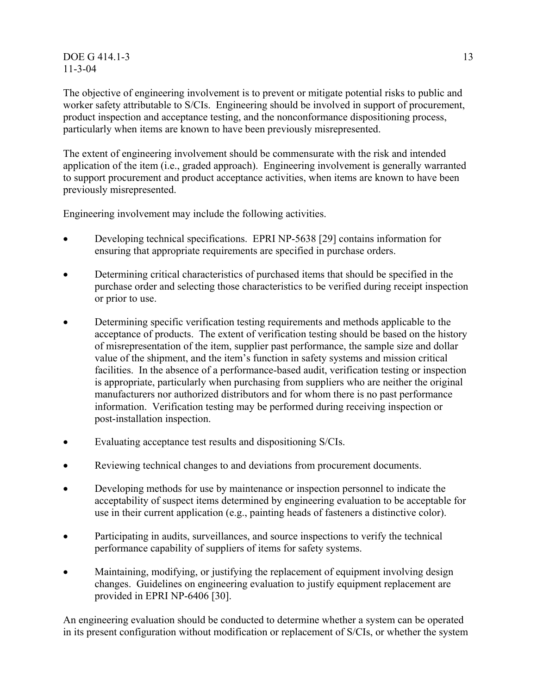#### DOE G 414.1-3 13 11-3-04

The objective of engineering involvement is to prevent or mitigate potential risks to public and worker safety attributable to S/CIs. Engineering should be involved in support of procurement, product inspection and acceptance testing, and the nonconformance dispositioning process, particularly when items are known to have been previously misrepresented.

The extent of engineering involvement should be commensurate with the risk and intended application of the item (i.e., graded approach). Engineering involvement is generally warranted to support procurement and product acceptance activities, when items are known to have been previously misrepresented.

Engineering involvement may include the following activities.

- Developing technical specifications. EPRI NP-5638 [29] contains information for ensuring that appropriate requirements are specified in purchase orders.
- Determining critical characteristics of purchased items that should be specified in the purchase order and selecting those characteristics to be verified during receipt inspection or prior to use.
- Determining specific verification testing requirements and methods applicable to the acceptance of products. The extent of verification testing should be based on the history of misrepresentation of the item, supplier past performance, the sample size and dollar value of the shipment, and the item's function in safety systems and mission critical facilities. In the absence of a performance-based audit, verification testing or inspection is appropriate, particularly when purchasing from suppliers who are neither the original manufacturers nor authorized distributors and for whom there is no past performance information. Verification testing may be performed during receiving inspection or post-installation inspection.
- Evaluating acceptance test results and dispositioning S/CIs.
- Reviewing technical changes to and deviations from procurement documents.
- Developing methods for use by maintenance or inspection personnel to indicate the acceptability of suspect items determined by engineering evaluation to be acceptable for use in their current application (e.g., painting heads of fasteners a distinctive color).
- Participating in audits, surveillances, and source inspections to verify the technical performance capability of suppliers of items for safety systems.
- Maintaining, modifying, or justifying the replacement of equipment involving design changes. Guidelines on engineering evaluation to justify equipment replacement are provided in EPRI NP-6406 [30].

An engineering evaluation should be conducted to determine whether a system can be operated in its present configuration without modification or replacement of S/CIs, or whether the system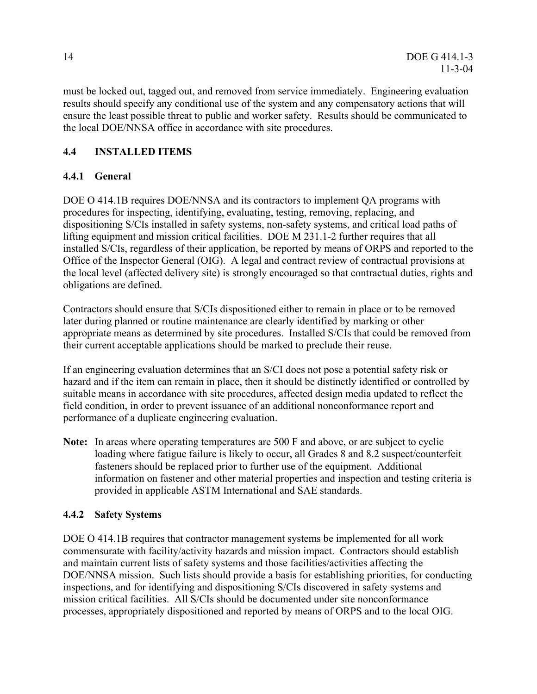<span id="page-20-0"></span>must be locked out, tagged out, and removed from service immediately. Engineering evaluation results should specify any conditional use of the system and any compensatory actions that will ensure the least possible threat to public and worker safety. Results should be communicated to the local DOE/NNSA office in accordance with site procedures.

# **4.4 INSTALLED ITEMS**

# **4.4.1 General**

DOE O 414.1B requires DOE/NNSA and its contractors to implement QA programs with procedures for inspecting, identifying, evaluating, testing, removing, replacing, and dispositioning S/CIs installed in safety systems, non-safety systems, and critical load paths of lifting equipment and mission critical facilities. DOE M 231.1-2 further requires that all installed S/CIs, regardless of their application, be reported by means of ORPS and reported to the Office of the Inspector General (OIG). A legal and contract review of contractual provisions at the local level (affected delivery site) is strongly encouraged so that contractual duties, rights and obligations are defined.

Contractors should ensure that S/CIs dispositioned either to remain in place or to be removed later during planned or routine maintenance are clearly identified by marking or other appropriate means as determined by site procedures. Installed S/CIs that could be removed from their current acceptable applications should be marked to preclude their reuse.

If an engineering evaluation determines that an S/CI does not pose a potential safety risk or hazard and if the item can remain in place, then it should be distinctly identified or controlled by suitable means in accordance with site procedures, affected design media updated to reflect the field condition, in order to prevent issuance of an additional nonconformance report and performance of a duplicate engineering evaluation.

**Note:** In areas where operating temperatures are 500 F and above, or are subject to cyclic loading where fatigue failure is likely to occur, all Grades 8 and 8.2 suspect/counterfeit fasteners should be replaced prior to further use of the equipment. Additional information on fastener and other material properties and inspection and testing criteria is provided in applicable ASTM International and SAE standards.

# **4.4.2 Safety Systems**

DOE O 414.1B requires that contractor management systems be implemented for all work commensurate with facility/activity hazards and mission impact. Contractors should establish and maintain current lists of safety systems and those facilities/activities affecting the DOE/NNSA mission. Such lists should provide a basis for establishing priorities, for conducting inspections, and for identifying and dispositioning S/CIs discovered in safety systems and mission critical facilities. All S/CIs should be documented under site nonconformance processes, appropriately dispositioned and reported by means of ORPS and to the local OIG.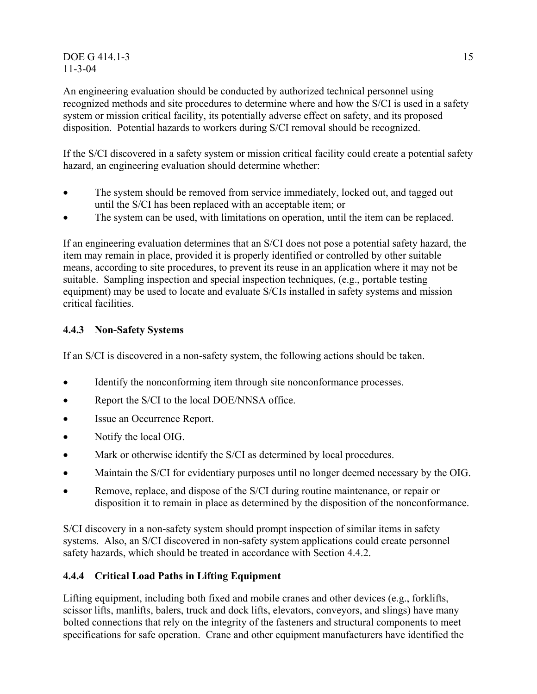### <span id="page-21-0"></span>DOE G 414.1-3 15 11-3-04

An engineering evaluation should be conducted by authorized technical personnel using recognized methods and site procedures to determine where and how the S/CI is used in a safety system or mission critical facility, its potentially adverse effect on safety, and its proposed disposition. Potential hazards to workers during S/CI removal should be recognized.

If the S/CI discovered in a safety system or mission critical facility could create a potential safety hazard, an engineering evaluation should determine whether:

- The system should be removed from service immediately, locked out, and tagged out until the S/CI has been replaced with an acceptable item; or
- The system can be used, with limitations on operation, until the item can be replaced.

If an engineering evaluation determines that an S/CI does not pose a potential safety hazard, the item may remain in place, provided it is properly identified or controlled by other suitable means, according to site procedures, to prevent its reuse in an application where it may not be suitable. Sampling inspection and special inspection techniques, (e.g., portable testing equipment) may be used to locate and evaluate S/CIs installed in safety systems and mission critical facilities.

# **4.4.3 Non-Safety Systems**

If an S/CI is discovered in a non-safety system, the following actions should be taken.

- Identify the nonconforming item through site nonconformance processes.
- Report the S/CI to the local DOE/NNSA office.
- Issue an Occurrence Report.
- Notify the local OIG.
- Mark or otherwise identify the S/CI as determined by local procedures.
- Maintain the S/CI for evidentiary purposes until no longer deemed necessary by the OIG.
- Remove, replace, and dispose of the S/CI during routine maintenance, or repair or disposition it to remain in place as determined by the disposition of the nonconformance.

S/CI discovery in a non-safety system should prompt inspection of similar items in safety systems. Also, an S/CI discovered in non-safety system applications could create personnel safety hazards, which should be treated in accordance with Section 4.4.2.

# **4.4.4 Critical Load Paths in Lifting Equipment**

Lifting equipment, including both fixed and mobile cranes and other devices (e.g., forklifts, scissor lifts, manlifts, balers, truck and dock lifts, elevators, conveyors, and slings) have many bolted connections that rely on the integrity of the fasteners and structural components to meet specifications for safe operation. Crane and other equipment manufacturers have identified the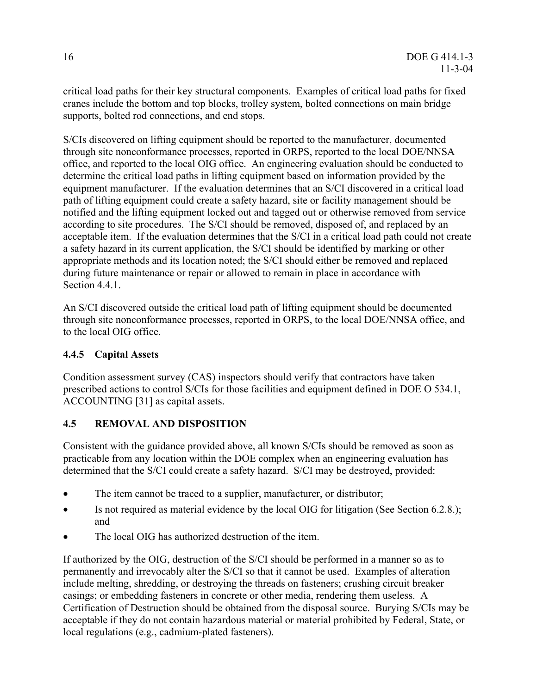<span id="page-22-0"></span>critical load paths for their key structural components. Examples of critical load paths for fixed cranes include the bottom and top blocks, trolley system, bolted connections on main bridge supports, bolted rod connections, and end stops.

S/CIs discovered on lifting equipment should be reported to the manufacturer, documented through site nonconformance processes, reported in ORPS, reported to the local DOE/NNSA office, and reported to the local OIG office. An engineering evaluation should be conducted to determine the critical load paths in lifting equipment based on information provided by the equipment manufacturer. If the evaluation determines that an S/CI discovered in a critical load path of lifting equipment could create a safety hazard, site or facility management should be notified and the lifting equipment locked out and tagged out or otherwise removed from service according to site procedures. The S/CI should be removed, disposed of, and replaced by an acceptable item. If the evaluation determines that the S/CI in a critical load path could not create a safety hazard in its current application, the S/CI should be identified by marking or other appropriate methods and its location noted; the S/CI should either be removed and replaced during future maintenance or repair or allowed to remain in place in accordance with Section 4.4.1.

An S/CI discovered outside the critical load path of lifting equipment should be documented through site nonconformance processes, reported in ORPS, to the local DOE/NNSA office, and to the local OIG office.

# **4.4.5 Capital Assets**

Condition assessment survey (CAS) inspectors should verify that contractors have taken prescribed actions to control S/CIs for those facilities and equipment defined in DOE O 534.1, ACCOUNTING [31] as capital assets.

# **4.5 REMOVAL AND DISPOSITION**

Consistent with the guidance provided above, all known S/CIs should be removed as soon as practicable from any location within the DOE complex when an engineering evaluation has determined that the S/CI could create a safety hazard. S/CI may be destroyed, provided:

- The item cannot be traced to a supplier, manufacturer, or distributor;
- Is not required as material evidence by the local OIG for litigation (See Section 6.2.8.); and
- The local OIG has authorized destruction of the item

If authorized by the OIG, destruction of the S/CI should be performed in a manner so as to permanently and irrevocably alter the S/CI so that it cannot be used. Examples of alteration include melting, shredding, or destroying the threads on fasteners; crushing circuit breaker casings; or embedding fasteners in concrete or other media, rendering them useless. A Certification of Destruction should be obtained from the disposal source. Burying S/CIs may be acceptable if they do not contain hazardous material or material prohibited by Federal, State, or local regulations (e.g., cadmium-plated fasteners).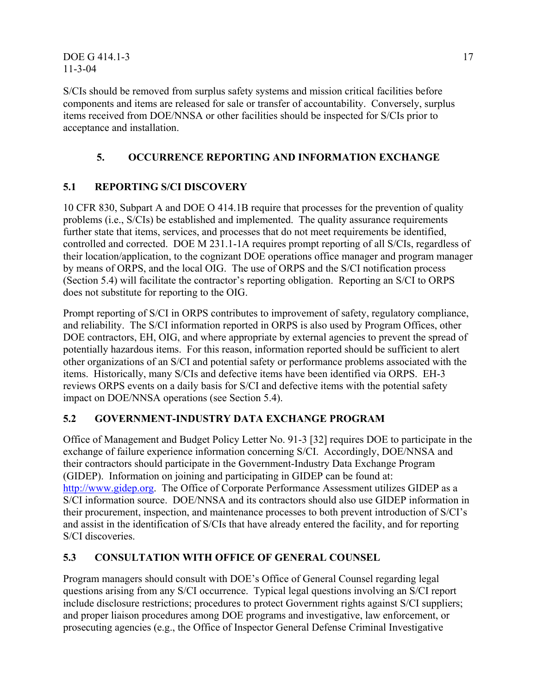<span id="page-23-0"></span>DOE G 414.1-3 17 11-3-04

S/CIs should be removed from surplus safety systems and mission critical facilities before components and items are released for sale or transfer of accountability. Conversely, surplus items received from DOE/NNSA or other facilities should be inspected for S/CIs prior to acceptance and installation.

# **5. OCCURRENCE REPORTING AND INFORMATION EXCHANGE**

# **5.1 REPORTING S/CI DISCOVERY**

10 CFR 830, Subpart A and DOE O 414.1B require that processes for the prevention of quality problems (i.e., S/CIs) be established and implemented. The quality assurance requirements further state that items, services, and processes that do not meet requirements be identified, controlled and corrected. DOE M 231.1-1A requires prompt reporting of all S/CIs, regardless of their location/application, to the cognizant DOE operations office manager and program manager by means of ORPS, and the local OIG. The use of ORPS and the S/CI notification process (Section 5.4) will facilitate the contractor's reporting obligation. Reporting an S/CI to ORPS does not substitute for reporting to the OIG.

Prompt reporting of S/CI in ORPS contributes to improvement of safety, regulatory compliance, and reliability. The S/CI information reported in ORPS is also used by Program Offices, other DOE contractors, EH, OIG, and where appropriate by external agencies to prevent the spread of potentially hazardous items. For this reason, information reported should be sufficient to alert other organizations of an S/CI and potential safety or performance problems associated with the items. Historically, many S/CIs and defective items have been identified via ORPS. EH-3 reviews ORPS events on a daily basis for S/CI and defective items with the potential safety impact on DOE/NNSA operations (see Section 5.4).

# **5.2 GOVERNMENT-INDUSTRY DATA EXCHANGE PROGRAM**

Office of Management and Budget Policy Letter No. 91-3 [32] requires DOE to participate in the exchange of failure experience information concerning S/CI. Accordingly, DOE/NNSA and their contractors should participate in the Government-Industry Data Exchange Program (GIDEP). Information on joining and participating in GIDEP can be found at: [http://www.gidep.org](http://www.gidep.org/). The Office of Corporate Performance Assessment utilizes GIDEP as a S/CI information source. DOE/NNSA and its contractors should also use GIDEP information in their procurement, inspection, and maintenance processes to both prevent introduction of S/CI's and assist in the identification of S/CIs that have already entered the facility, and for reporting S/CI discoveries.

# **5.3 CONSULTATION WITH OFFICE OF GENERAL COUNSEL**

Program managers should consult with DOE's Office of General Counsel regarding legal questions arising from any S/CI occurrence. Typical legal questions involving an S/CI report include disclosure restrictions; procedures to protect Government rights against S/CI suppliers; and proper liaison procedures among DOE programs and investigative, law enforcement, or prosecuting agencies (e.g., the Office of Inspector General Defense Criminal Investigative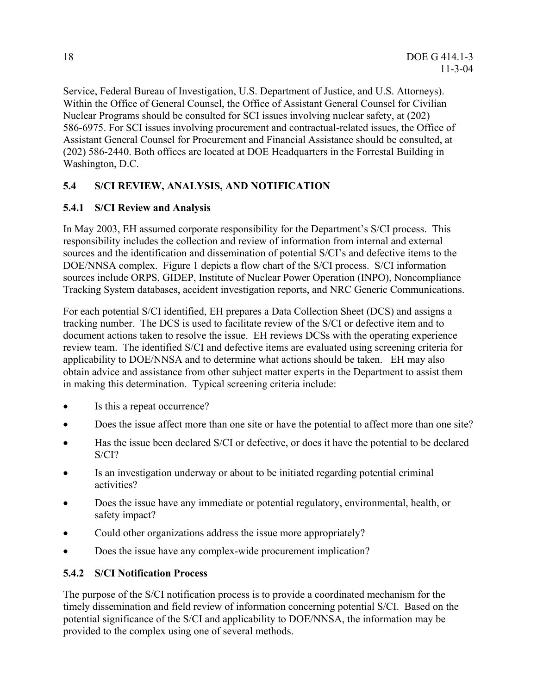<span id="page-24-0"></span>Service, Federal Bureau of Investigation, U.S. Department of Justice, and U.S. Attorneys). Within the Office of General Counsel, the Office of Assistant General Counsel for Civilian Nuclear Programs should be consulted for SCI issues involving nuclear safety, at (202) 586-6975. For SCI issues involving procurement and contractual-related issues, the Office of Assistant General Counsel for Procurement and Financial Assistance should be consulted, at (202) 586-2440. Both offices are located at DOE Headquarters in the Forrestal Building in Washington, D.C.

# **5.4 S/CI REVIEW, ANALYSIS, AND NOTIFICATION**

# **5.4.1 S/CI Review and Analysis**

In May 2003, EH assumed corporate responsibility for the Department's S/CI process. This responsibility includes the collection and review of information from internal and external sources and the identification and dissemination of potential S/CI's and defective items to the DOE/NNSA complex. Figure 1 depicts a flow chart of the S/CI process. S/CI information sources include ORPS, GIDEP, Institute of Nuclear Power Operation (INPO), Noncompliance Tracking System databases, accident investigation reports, and NRC Generic Communications.

For each potential S/CI identified, EH prepares a Data Collection Sheet (DCS) and assigns a tracking number. The DCS is used to facilitate review of the S/CI or defective item and to document actions taken to resolve the issue. EH reviews DCSs with the operating experience review team. The identified S/CI and defective items are evaluated using screening criteria for applicability to DOE/NNSA and to determine what actions should be taken. EH may also obtain advice and assistance from other subject matter experts in the Department to assist them in making this determination. Typical screening criteria include:

- Is this a repeat occurrence?
- Does the issue affect more than one site or have the potential to affect more than one site?
- Has the issue been declared S/CI or defective, or does it have the potential to be declared S/CI?
- Is an investigation underway or about to be initiated regarding potential criminal activities?
- Does the issue have any immediate or potential regulatory, environmental, health, or safety impact?
- Could other organizations address the issue more appropriately?
- Does the issue have any complex-wide procurement implication?

# **5.4.2 S/CI Notification Process**

The purpose of the S/CI notification process is to provide a coordinated mechanism for the timely dissemination and field review of information concerning potential S/CI. Based on the potential significance of the S/CI and applicability to DOE/NNSA, the information may be provided to the complex using one of several methods.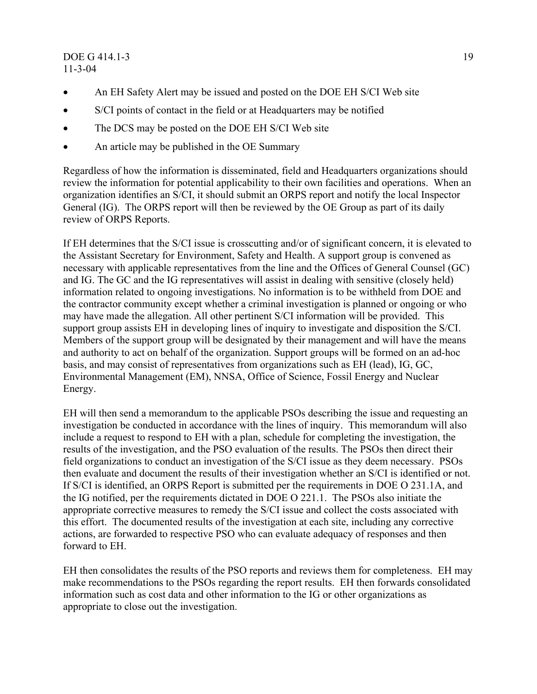### <span id="page-25-0"></span>DOE G 414.1-3 19 11-3-04

- An EH Safety Alert may be issued and posted on the DOE EH S/CI Web site
- S/CI points of contact in the field or at Headquarters may be notified
- The DCS may be posted on the DOE EH S/CI Web site
- An article may be published in the OE Summary

Regardless of how the information is disseminated, field and Headquarters organizations should review the information for potential applicability to their own facilities and operations. When an organization identifies an S/CI, it should submit an ORPS report and notify the local Inspector General (IG). The ORPS report will then be reviewed by the OE Group as part of its daily review of ORPS Reports.

If EH determines that the S/CI issue is crosscutting and/or of significant concern, it is elevated to the Assistant Secretary for Environment, Safety and Health. A support group is convened as necessary with applicable representatives from the line and the Offices of General Counsel (GC) and IG. The GC and the IG representatives will assist in dealing with sensitive (closely held) information related to ongoing investigations. No information is to be withheld from DOE and the contractor community except whether a criminal investigation is planned or ongoing or who may have made the allegation. All other pertinent S/CI information will be provided. This support group assists EH in developing lines of inquiry to investigate and disposition the S/CI. Members of the support group will be designated by their management and will have the means and authority to act on behalf of the organization. Support groups will be formed on an ad-hoc basis, and may consist of representatives from organizations such as EH (lead), IG, GC, Environmental Management (EM), NNSA, Office of Science, Fossil Energy and Nuclear Energy.

EH will then send a memorandum to the applicable PSOs describing the issue and requesting an investigation be conducted in accordance with the lines of inquiry. This memorandum will also include a request to respond to EH with a plan, schedule for completing the investigation, the results of the investigation, and the PSO evaluation of the results. The PSOs then direct their field organizations to conduct an investigation of the S/CI issue as they deem necessary. PSOs then evaluate and document the results of their investigation whether an S/CI is identified or not. If S/CI is identified, an ORPS Report is submitted per the requirements in DOE O 231.1A, and the IG notified, per the requirements dictated in DOE O 221.1. The PSOs also initiate the appropriate corrective measures to remedy the S/CI issue and collect the costs associated with this effort. The documented results of the investigation at each site, including any corrective actions, are forwarded to respective PSO who can evaluate adequacy of responses and then forward to EH.

EH then consolidates the results of the PSO reports and reviews them for completeness. EH may make recommendations to the PSOs regarding the report results. EH then forwards consolidated information such as cost data and other information to the IG or other organizations as appropriate to close out the investigation.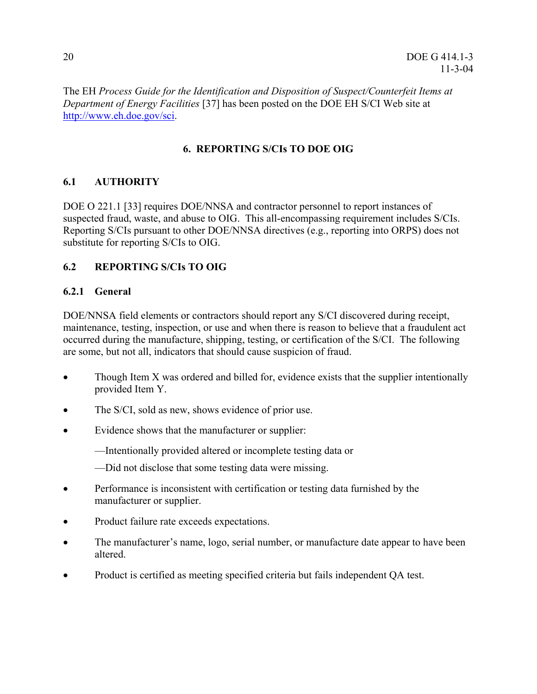<span id="page-26-0"></span>The EH *Process Guide for the Identification and Disposition of Suspect/Counterfeit Items at Department of Energy Facilities* [37] has been posted on the DOE EH S/CI Web site at <http://www.eh.doe.gov/sci>.

# **6. REPORTING S/CIs TO DOE OIG**

# **6.1 AUTHORITY**

DOE O 221.1 [33] requires DOE/NNSA and contractor personnel to report instances of suspected fraud, waste, and abuse to OIG. This all-encompassing requirement includes S/CIs. Reporting S/CIs pursuant to other DOE/NNSA directives (e.g., reporting into ORPS) does not substitute for reporting S/CIs to OIG.

# **6.2 REPORTING S/CIs TO OIG**

# **6.2.1 General**

DOE/NNSA field elements or contractors should report any S/CI discovered during receipt, maintenance, testing, inspection, or use and when there is reason to believe that a fraudulent act occurred during the manufacture, shipping, testing, or certification of the S/CI. The following are some, but not all, indicators that should cause suspicion of fraud.

- Though Item X was ordered and billed for, evidence exists that the supplier intentionally provided Item Y.
- The S/CI, sold as new, shows evidence of prior use.
- Evidence shows that the manufacturer or supplier:

—Intentionally provided altered or incomplete testing data or

—Did not disclose that some testing data were missing.

- Performance is inconsistent with certification or testing data furnished by the manufacturer or supplier.
- Product failure rate exceeds expectations.
- The manufacturer's name, logo, serial number, or manufacture date appear to have been altered.
- Product is certified as meeting specified criteria but fails independent QA test.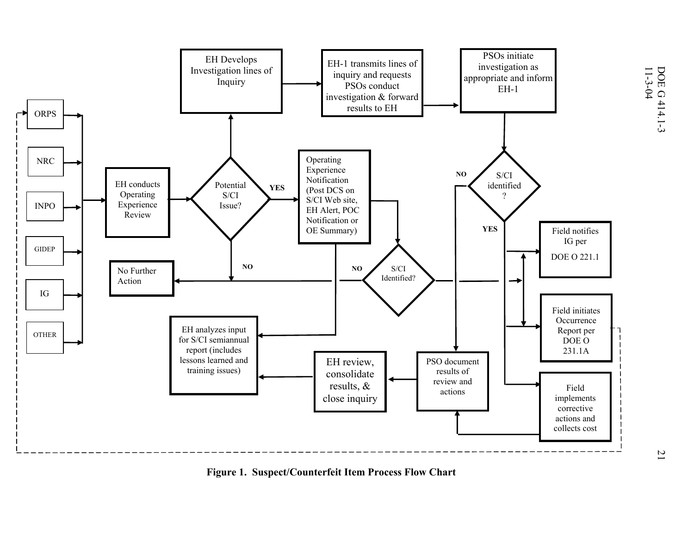

**Figure 1. Suspect/Counterfeit Item Process Flow Chart**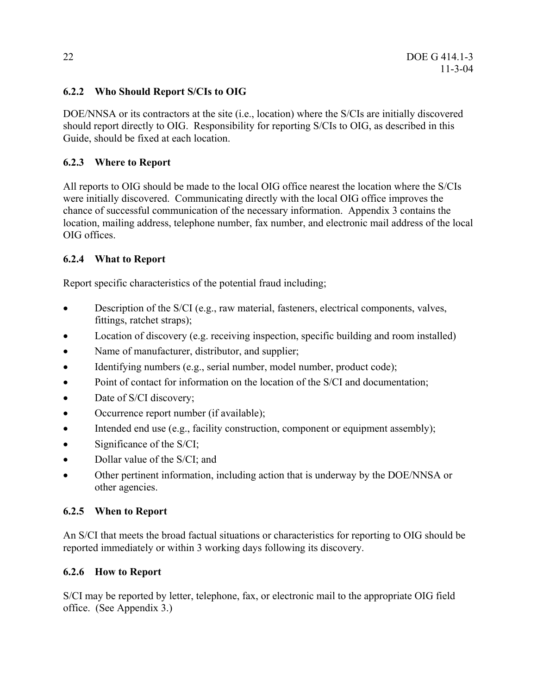# **6.2.2 Who Should Report S/CIs to OIG**

DOE/NNSA or its contractors at the site (i.e., location) where the S/CIs are initially discovered should report directly to OIG. Responsibility for reporting S/CIs to OIG, as described in this Guide, should be fixed at each location.

# **6.2.3 Where to Report**

All reports to OIG should be made to the local OIG office nearest the location where the S/CIs were initially discovered. Communicating directly with the local OIG office improves the chance of successful communication of the necessary information. Appendix 3 contains the location, mailing address, telephone number, fax number, and electronic mail address of the local OIG offices.

# **6.2.4 What to Report**

Report specific characteristics of the potential fraud including;

- Description of the S/CI (e.g., raw material, fasteners, electrical components, valves, fittings, ratchet straps);
- Location of discovery (e.g. receiving inspection, specific building and room installed)
- Name of manufacturer, distributor, and supplier;
- Identifying numbers (e.g., serial number, model number, product code);
- Point of contact for information on the location of the S/CI and documentation;
- Date of S/CI discovery;
- Occurrence report number (if available);
- Intended end use (e.g., facility construction, component or equipment assembly);
- Significance of the S/CI;
- Dollar value of the S/CI; and
- Other pertinent information, including action that is underway by the DOE/NNSA or other agencies.

# **6.2.5 When to Report**

An S/CI that meets the broad factual situations or characteristics for reporting to OIG should be reported immediately or within 3 working days following its discovery.

# **6.2.6 How to Report**

S/CI may be reported by letter, telephone, fax, or electronic mail to the appropriate OIG field office. (See Appendix 3.)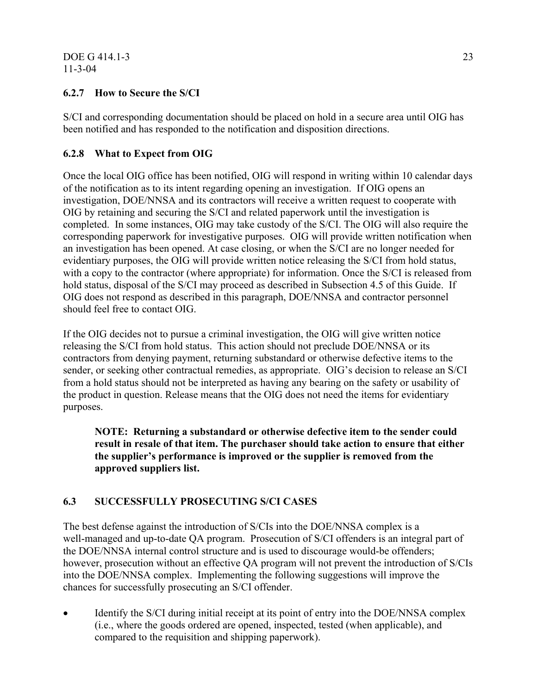# <span id="page-29-0"></span>**6.2.7 How to Secure the S/CI**

S/CI and corresponding documentation should be placed on hold in a secure area until OIG has been notified and has responded to the notification and disposition directions.

# **6.2.8 What to Expect from OIG**

Once the local OIG office has been notified, OIG will respond in writing within 10 calendar days of the notification as to its intent regarding opening an investigation. If OIG opens an investigation, DOE/NNSA and its contractors will receive a written request to cooperate with OIG by retaining and securing the S/CI and related paperwork until the investigation is completed. In some instances, OIG may take custody of the S/CI. The OIG will also require the corresponding paperwork for investigative purposes. OIG will provide written notification when an investigation has been opened. At case closing, or when the S/CI are no longer needed for evidentiary purposes, the OIG will provide written notice releasing the S/CI from hold status, with a copy to the contractor (where appropriate) for information. Once the S/CI is released from hold status, disposal of the S/CI may proceed as described in Subsection 4.5 of this Guide. If OIG does not respond as described in this paragraph, DOE/NNSA and contractor personnel should feel free to contact OIG.

If the OIG decides not to pursue a criminal investigation, the OIG will give written notice releasing the S/CI from hold status. This action should not preclude DOE/NNSA or its contractors from denying payment, returning substandard or otherwise defective items to the sender, or seeking other contractual remedies, as appropriate. OIG's decision to release an S/CI from a hold status should not be interpreted as having any bearing on the safety or usability of the product in question. Release means that the OIG does not need the items for evidentiary purposes.

**NOTE: Returning a substandard or otherwise defective item to the sender could result in resale of that item. The purchaser should take action to ensure that either the supplier's performance is improved or the supplier is removed from the approved suppliers list.** 

# **6.3 SUCCESSFULLY PROSECUTING S/CI CASES**

The best defense against the introduction of S/CIs into the DOE/NNSA complex is a well-managed and up-to-date QA program. Prosecution of S/CI offenders is an integral part of the DOE/NNSA internal control structure and is used to discourage would-be offenders; however, prosecution without an effective QA program will not prevent the introduction of S/CIs into the DOE/NNSA complex. Implementing the following suggestions will improve the chances for successfully prosecuting an S/CI offender.

• Identify the S/CI during initial receipt at its point of entry into the DOE/NNSA complex (i.e., where the goods ordered are opened, inspected, tested (when applicable), and compared to the requisition and shipping paperwork).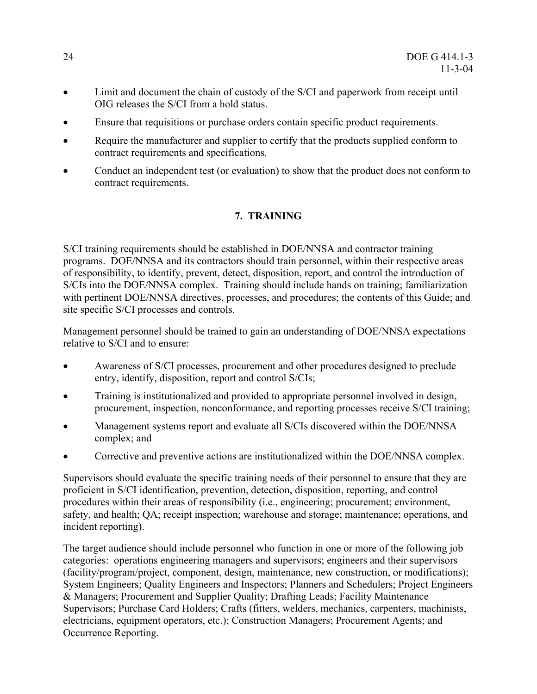- <span id="page-30-0"></span>• Limit and document the chain of custody of the S/CI and paperwork from receipt until OIG releases the S/CI from a hold status.
- Ensure that requisitions or purchase orders contain specific product requirements.
- Require the manufacturer and supplier to certify that the products supplied conform to contract requirements and specifications.
- Conduct an independent test (or evaluation) to show that the product does not conform to contract requirements.

# **7. TRAINING**

S/CI training requirements should be established in DOE/NNSA and contractor training programs. DOE/NNSA and its contractors should train personnel, within their respective areas of responsibility, to identify, prevent, detect, disposition, report, and control the introduction of S/CIs into the DOE/NNSA complex. Training should include hands on training; familiarization with pertinent DOE/NNSA directives, processes, and procedures; the contents of this Guide; and site specific S/CI processes and controls.

Management personnel should be trained to gain an understanding of DOE/NNSA expectations relative to S/CI and to ensure:

- Awareness of S/CI processes, procurement and other procedures designed to preclude entry, identify, disposition, report and control S/CIs;
- Training is institutionalized and provided to appropriate personnel involved in design, procurement, inspection, nonconformance, and reporting processes receive S/CI training;
- Management systems report and evaluate all S/CIs discovered within the DOE/NNSA complex; and
- Corrective and preventive actions are institutionalized within the DOE/NNSA complex.

Supervisors should evaluate the specific training needs of their personnel to ensure that they are proficient in S/CI identification, prevention, detection, disposition, reporting, and control procedures within their areas of responsibility (i.e., engineering; procurement; environment, safety, and health; QA; receipt inspection; warehouse and storage; maintenance; operations, and incident reporting).

The target audience should include personnel who function in one or more of the following job categories: operations engineering managers and supervisors; engineers and their supervisors (facility/program/project, component, design, maintenance, new construction, or modifications); System Engineers; Quality Engineers and Inspectors; Planners and Schedulers; Project Engineers & Managers; Procurement and Supplier Quality; Drafting Leads; Facility Maintenance Supervisors; Purchase Card Holders; Crafts (fitters, welders, mechanics, carpenters, machinists, electricians, equipment operators, etc.); Construction Managers; Procurement Agents; and Occurrence Reporting.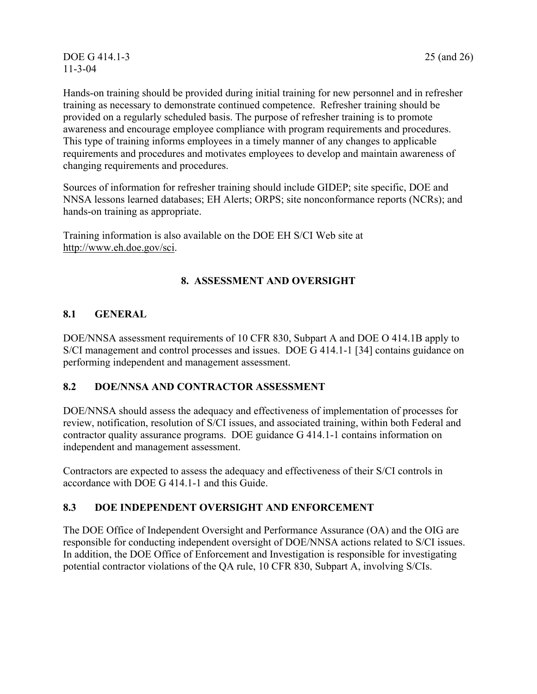<span id="page-31-0"></span>Hands-on training should be provided during initial training for new personnel and in refresher training as necessary to demonstrate continued competence. Refresher training should be provided on a regularly scheduled basis. The purpose of refresher training is to promote awareness and encourage employee compliance with program requirements and procedures. This type of training informs employees in a timely manner of any changes to applicable requirements and procedures and motivates employees to develop and maintain awareness of changing requirements and procedures.

Sources of information for refresher training should include GIDEP; site specific, DOE and NNSA lessons learned databases; EH Alerts; ORPS; site nonconformance reports (NCRs); and hands-on training as appropriate.

Training information is also available on the DOE EH S/CI Web site at <http://www.eh.doe.gov/sci>.

# **8. ASSESSMENT AND OVERSIGHT**

# **8.1 GENERAL**

DOE/NNSA assessment requirements of 10 CFR 830, Subpart A and DOE O 414.1B apply to S/CI management and control processes and issues. DOE G 414.1-1 [34] contains guidance on performing independent and management assessment.

# **8.2 DOE/NNSA AND CONTRACTOR ASSESSMENT**

DOE/NNSA should assess the adequacy and effectiveness of implementation of processes for review, notification, resolution of S/CI issues, and associated training, within both Federal and contractor quality assurance programs. DOE guidance G 414.1-1 contains information on independent and management assessment.

Contractors are expected to assess the adequacy and effectiveness of their S/CI controls in accordance with DOE G 414.1-1 and this Guide.

# **8.3 DOE INDEPENDENT OVERSIGHT AND ENFORCEMENT**

The DOE Office of Independent Oversight and Performance Assurance (OA) and the OIG are responsible for conducting independent oversight of DOE/NNSA actions related to S/CI issues. In addition, the DOE Office of Enforcement and Investigation is responsible for investigating potential contractor violations of the QA rule, 10 CFR 830, Subpart A, involving S/CIs.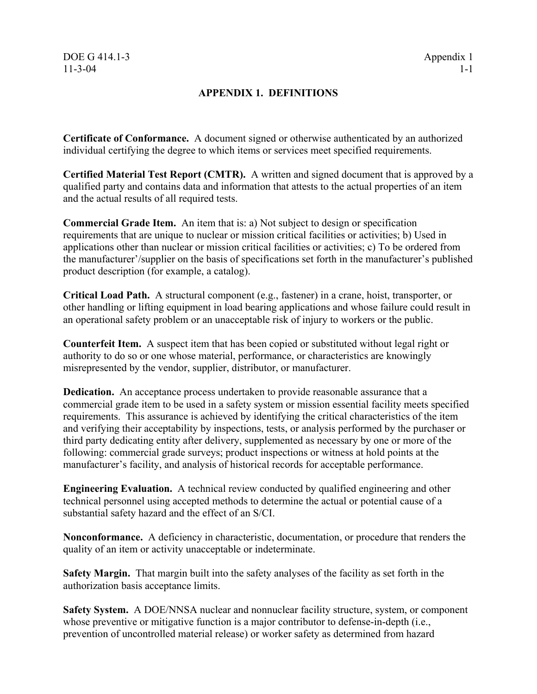# **APPENDIX 1. DEFINITIONS**

<span id="page-32-0"></span>**Certificate of Conformance.** A document signed or otherwise authenticated by an authorized individual certifying the degree to which items or services meet specified requirements.

**Certified Material Test Report (CMTR).** A written and signed document that is approved by a qualified party and contains data and information that attests to the actual properties of an item and the actual results of all required tests.

**Commercial Grade Item.** An item that is: a) Not subject to design or specification requirements that are unique to nuclear or mission critical facilities or activities; b) Used in applications other than nuclear or mission critical facilities or activities; c) To be ordered from the manufacturer'/supplier on the basis of specifications set forth in the manufacturer's published product description (for example, a catalog).

**Critical Load Path.** A structural component (e.g., fastener) in a crane, hoist, transporter, or other handling or lifting equipment in load bearing applications and whose failure could result in an operational safety problem or an unacceptable risk of injury to workers or the public.

**Counterfeit Item.** A suspect item that has been copied or substituted without legal right or authority to do so or one whose material, performance, or characteristics are knowingly misrepresented by the vendor, supplier, distributor, or manufacturer.

**Dedication.** An acceptance process undertaken to provide reasonable assurance that a commercial grade item to be used in a safety system or mission essential facility meets specified requirements. This assurance is achieved by identifying the critical characteristics of the item and verifying their acceptability by inspections, tests, or analysis performed by the purchaser or third party dedicating entity after delivery, supplemented as necessary by one or more of the following: commercial grade surveys; product inspections or witness at hold points at the manufacturer's facility, and analysis of historical records for acceptable performance.

**Engineering Evaluation.** A technical review conducted by qualified engineering and other technical personnel using accepted methods to determine the actual or potential cause of a substantial safety hazard and the effect of an S/CI.

**Nonconformance.** A deficiency in characteristic, documentation, or procedure that renders the quality of an item or activity unacceptable or indeterminate.

**Safety Margin.** That margin built into the safety analyses of the facility as set forth in the authorization basis acceptance limits.

**Safety System.** A DOE/NNSA nuclear and nonnuclear facility structure, system, or component whose preventive or mitigative function is a major contributor to defense-in-depth (i.e., prevention of uncontrolled material release) or worker safety as determined from hazard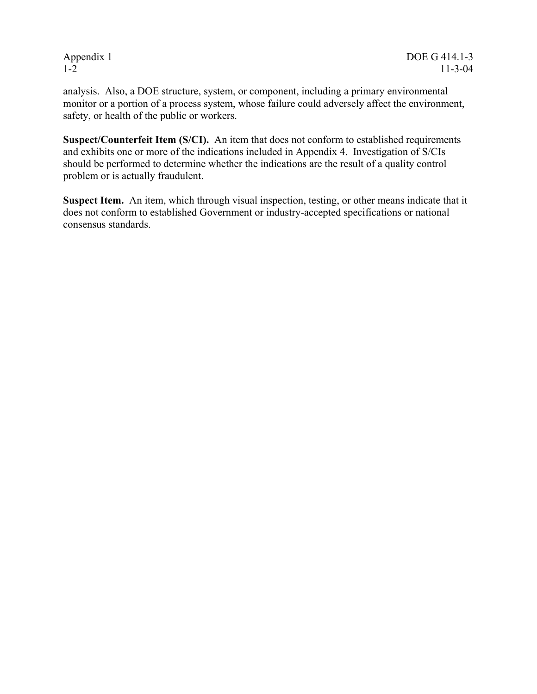analysis. Also, a DOE structure, system, or component, including a primary environmental monitor or a portion of a process system, whose failure could adversely affect the environment, safety, or health of the public or workers.

**Suspect/Counterfeit Item (S/CI).** An item that does not conform to established requirements and exhibits one or more of the indications included in Appendix 4. Investigation of S/CIs should be performed to determine whether the indications are the result of a quality control problem or is actually fraudulent.

**Suspect Item.** An item, which through visual inspection, testing, or other means indicate that it does not conform to established Government or industry-accepted specifications or national consensus standards.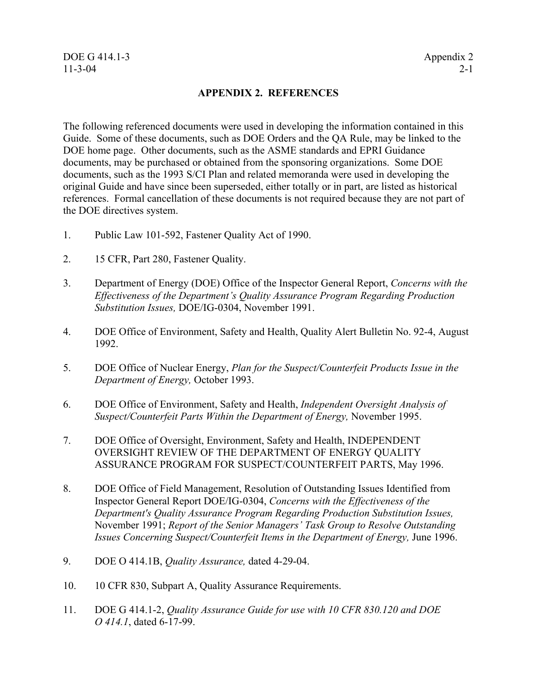### <span id="page-34-0"></span>DOE G 414.1-3 Appendix 2 11-3-04 2-1

### **APPENDIX 2. REFERENCES**

The following referenced documents were used in developing the information contained in this Guide. Some of these documents, such as DOE Orders and the QA Rule, may be linked to the DOE home page. Other documents, such as the ASME standards and EPRI Guidance documents, may be purchased or obtained from the sponsoring organizations. Some DOE documents, such as the 1993 S/CI Plan and related memoranda were used in developing the original Guide and have since been superseded, either totally or in part, are listed as historical references. Formal cancellation of these documents is not required because they are not part of the DOE directives system.

- 1. Public Law 101-592, Fastener Quality Act of 1990.
- 2. 15 CFR, Part 280, Fastener Quality.
- 3. Department of Energy (DOE) Office of the Inspector General Report, *Concerns with the Effectiveness of the Department's Quality Assurance Program Regarding Production Substitution Issues,* DOE/IG-0304, November 1991.
- 4. DOE Office of Environment, Safety and Health, Quality Alert Bulletin No. 92-4, August 1992.
- 5. DOE Office of Nuclear Energy, *Plan for the Suspect/Counterfeit Products Issue in the Department of Energy,* October 1993.
- 6. DOE Office of Environment, Safety and Health, *Independent Oversight Analysis of Suspect/Counterfeit Parts Within the Department of Energy,* November 1995.
- 7. DOE Office of Oversight, Environment, Safety and Health, INDEPENDENT OVERSIGHT REVIEW OF THE DEPARTMENT OF ENERGY QUALITY ASSURANCE PROGRAM FOR SUSPECT/COUNTERFEIT PARTS, May 1996.
- 8. DOE Office of Field Management, Resolution of Outstanding Issues Identified from Inspector General Report DOE/IG-0304, *Concerns with the Effectiveness of the Department's Quality Assurance Program Regarding Production Substitution Issues,* November 1991; *Report of the Senior Managers' Task Group to Resolve Outstanding Issues Concerning Suspect/Counterfeit Items in the Department of Energy,* June 1996.
- 9. DOE O 414.1B, *Quality Assurance,* dated 4-29-04.
- 10. 10 CFR 830, Subpart A, Quality Assurance Requirements.
- 11. DOE G 414.1-2, *Quality Assurance Guide for use with 10 CFR 830.120 and DOE O 414.1*, dated 6-17-99.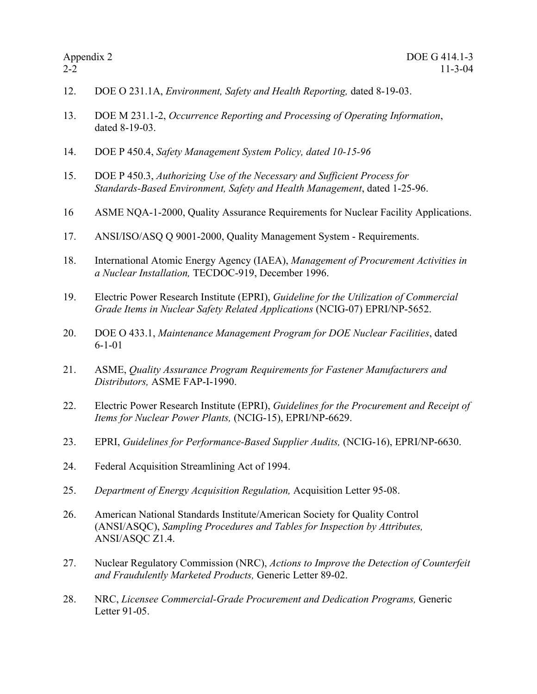- 12. DOE O 231.1A, *Environment, Safety and Health Reporting,* dated 8-19-03.
- 13. DOE M 231.1-2, *Occurrence Reporting and Processing of Operating Information*, dated 8-19-03.
- 14. DOE P 450.4, *Safety Management System Policy, dated 10-15-96*
- 15. DOE P 450.3, *Authorizing Use of the Necessary and Sufficient Process for Standards-Based Environment, Safety and Health Management*, dated 1-25-96.
- 16 ASME NQA-1-2000, Quality Assurance Requirements for Nuclear Facility Applications.
- 17. ANSI/ISO/ASQ Q 9001-2000, Quality Management System Requirements.
- 18. International Atomic Energy Agency (IAEA), *Management of Procurement Activities in a Nuclear Installation,* TECDOC-919, December 1996.
- 19. Electric Power Research Institute (EPRI), *Guideline for the Utilization of Commercial Grade Items in Nuclear Safety Related Applications* (NCIG-07) EPRI/NP-5652.
- 20. DOE O 433.1, *Maintenance Management Program for DOE Nuclear Facilities*, dated 6-1-01
- 21. ASME, *Quality Assurance Program Requirements for Fastener Manufacturers and Distributors,* ASME FAP-I-1990.
- 22. Electric Power Research Institute (EPRI), *Guidelines for the Procurement and Receipt of Items for Nuclear Power Plants,* (NCIG-15), EPRI/NP-6629.
- 23. EPRI, *Guidelines for Performance-Based Supplier Audits,* (NCIG-16), EPRI/NP-6630.
- 24. Federal Acquisition Streamlining Act of 1994.
- 25. *Department of Energy Acquisition Regulation,* Acquisition Letter 95-08.
- 26. American National Standards Institute/American Society for Quality Control (ANSI/ASQC), *Sampling Procedures and Tables for Inspection by Attributes,* ANSI/ASQC Z1.4.
- 27. Nuclear Regulatory Commission (NRC), *Actions to Improve the Detection of Counterfeit and Fraudulently Marketed Products,* Generic Letter 89-02.
- 28. NRC, *Licensee Commercial-Grade Procurement and Dedication Programs,* Generic Letter 91-05.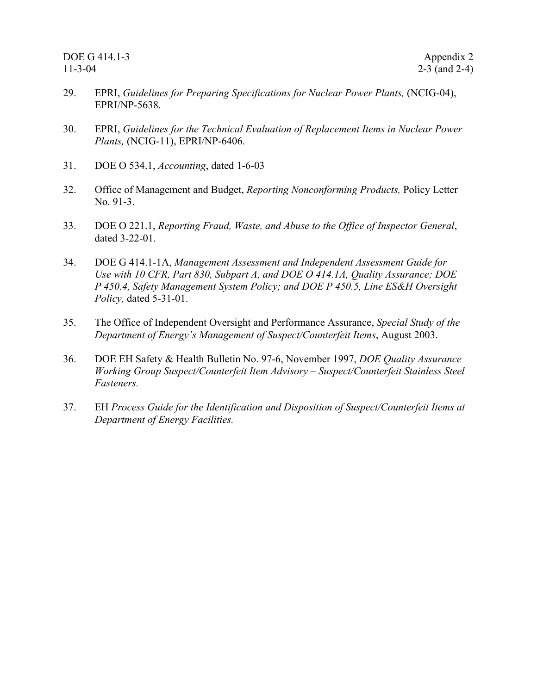- <span id="page-36-0"></span>29. EPRI, *Guidelines for Preparing Specifications for Nuclear Power Plants,* (NCIG-04), EPRI/NP-5638.
- 30. EPRI, *Guidelines for the Technical Evaluation of Replacement Items in Nuclear Power Plants,* (NCIG-11), EPRI/NP-6406.
- 31. DOE O 534.1, *Accounting*, dated 1-6-03
- 32. Office of Management and Budget, *Reporting Nonconforming Products,* Policy Letter No. 91-3.
- 33. DOE O 221.1, *Reporting Fraud, Waste, and Abuse to the Office of Inspector General*, dated 3-22-01.
- 34. DOE G 414.1-1A, *Management Assessment and Independent Assessment Guide for Use with 10 CFR, Part 830, Subpart A, and DOE O 414.1A, Quality Assurance; DOE P 450.4, Safety Management System Policy; and DOE P 450.5, Line ES&H Oversight Policy,* dated 5-31-01.
- 35. The Office of Independent Oversight and Performance Assurance, *Special Study of the Department of Energy's Management of Suspect/Counterfeit Items*, August 2003.
- 36. DOE EH Safety & Health Bulletin No. 97-6, November 1997, *DOE Quality Assurance Working Group Suspect/Counterfeit Item Advisory – Suspect/Counterfeit Stainless Steel Fasteners.*
- 37. EH *Process Guide for the Identification and Disposition of Suspect/Counterfeit Items at Department of Energy Facilities.*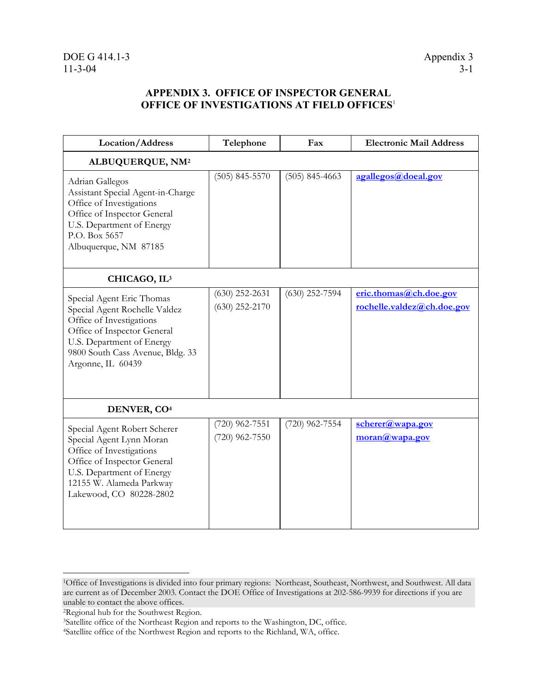# **APPENDIX 3. OFFICE OF INSPECTOR GENERAL OFFICE OF INVESTIGATIONS AT FIELD OFFICES**[1](#page-37-0)

| Location/Address                                                                                                                                                                                            | Telephone                            | Fax              | <b>Electronic Mail Address</b>                                                       |  |  |
|-------------------------------------------------------------------------------------------------------------------------------------------------------------------------------------------------------------|--------------------------------------|------------------|--------------------------------------------------------------------------------------|--|--|
| ALBUQUERQUE, NM <sup>2</sup>                                                                                                                                                                                |                                      |                  |                                                                                      |  |  |
| Adrian Gallegos<br>Assistant Special Agent-in-Charge<br>Office of Investigations<br>Office of Inspector General<br>U.S. Department of Energy<br>P.O. Box 5657<br>Albuquerque, NM 87185                      | $(505)$ 845-5570                     | $(505)$ 845-4663 | agallegos@doeal.gov                                                                  |  |  |
| CHICAGO, IL <sup>3</sup>                                                                                                                                                                                    |                                      |                  |                                                                                      |  |  |
| Special Agent Eric Thomas<br>Special Agent Rochelle Valdez<br>Office of Investigations<br>Office of Inspector General<br>U.S. Department of Energy<br>9800 South Cass Avenue, Bldg. 33<br>Argonne, IL 60439 | $(630)$ 252-2631<br>$(630)$ 252-2170 | $(630)$ 252-7594 | eric.thomas@ch.doe.gov<br>rochelle.valdez@ch.doe.gov                                 |  |  |
| DENVER, CO <sup>4</sup>                                                                                                                                                                                     |                                      |                  |                                                                                      |  |  |
| Special Agent Robert Scherer<br>Special Agent Lynn Moran<br>Office of Investigations<br>Office of Inspector General<br>U.S. Department of Energy<br>12155 W. Alameda Parkway<br>Lakewood, CO 80228-2802     | (720) 962-7551<br>$(720)$ 962-7550   | $(720)$ 962-7554 | $\underline{\text{scherer}(a\text{,}wa\text{,}o\text{,}o\text{)}}$<br>moran@wapa.gov |  |  |

 $\overline{a}$ 

<span id="page-37-0"></span><sup>1</sup>Office of Investigations is divided into four primary regions: Northeast, Southeast, Northwest, and Southwest. All data are current as of December 2003. Contact the DOE Office of Investigations at 202-586-9939 for directions if you are

<span id="page-37-2"></span><span id="page-37-1"></span>

<sup>&</sup>lt;sup>2</sup>Regional hub for the Southwest Region.<br><sup>3</sup>Satellite office of the Northeast Region and reports to the Washington, DC, office.<br><sup>4</sup>Satellite office of the Northwest Region and reports to the Richland, WA, office.

<span id="page-37-3"></span>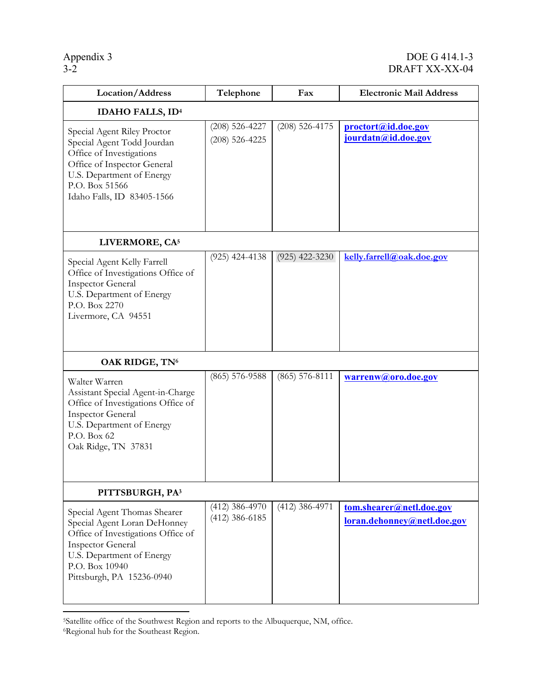# Appendix 3<br>  $\overline{)3-2}$ <br>
DRAFT XX-XX-04 DRAFT XX-XX-04

| Location/Address                                                                                                                                                                                           | Telephone                            | Fax                | <b>Electronic Mail Address</b>                          |  |
|------------------------------------------------------------------------------------------------------------------------------------------------------------------------------------------------------------|--------------------------------------|--------------------|---------------------------------------------------------|--|
| <b>IDAHO FALLS, ID4</b>                                                                                                                                                                                    |                                      |                    |                                                         |  |
| Special Agent Riley Proctor<br>Special Agent Todd Jourdan<br>Office of Investigations<br>Office of Inspector General<br>U.S. Department of Energy<br>P.O. Box 51566<br>Idaho Falls, ID 83405-1566          | $(208)$ 526-4227<br>$(208)$ 526-4225 | $(208)$ 526-4175   | proctort@id.doe.gov<br>jourdatn@id.doe.gov              |  |
| LIVERMORE, CA <sup>5</sup>                                                                                                                                                                                 |                                      |                    |                                                         |  |
| Special Agent Kelly Farrell<br>Office of Investigations Office of<br><b>Inspector General</b><br>U.S. Department of Energy<br>P.O. Box 2270<br>Livermore, CA 94551                                         | $(925)$ 424-4138                     | $(925)$ 422-3230   | kelly.farrell@oak.doe.gov                               |  |
| OAK RIDGE, TN <sup>6</sup>                                                                                                                                                                                 |                                      |                    |                                                         |  |
| Walter Warren<br>Assistant Special Agent-in-Charge<br>Office of Investigations Office of<br><b>Inspector General</b><br>U.S. Department of Energy<br>P.O. Box 62<br>Oak Ridge, TN 37831                    | $(865)$ 576-9588                     | $(865) 576 - 8111$ | warrenw@oro.doe.gov                                     |  |
| PITTSBURGH, PA3                                                                                                                                                                                            |                                      |                    |                                                         |  |
| Special Agent Thomas Shearer<br>Special Agent Loran DeHonney<br>Office of Investigations Office of<br><b>Inspector General</b><br>U.S. Department of Energy<br>P.O. Box 10940<br>Pittsburgh, PA 15236-0940 | $(412)$ 386-4970<br>$(412)$ 386-6185 | $(412)$ 386-4971   | tom.shearer@netl.doe.gov<br>loran.dehonney@netl.doe.gov |  |

<span id="page-38-0"></span><sup>&</sup>lt;sup>5</sup>Satellite office of the Southwest Region and reports to the Albuquerque, NM, office. <sup>6</sup>Regional hub for the Southeast Region.

 $\overline{a}$ 

<span id="page-38-1"></span>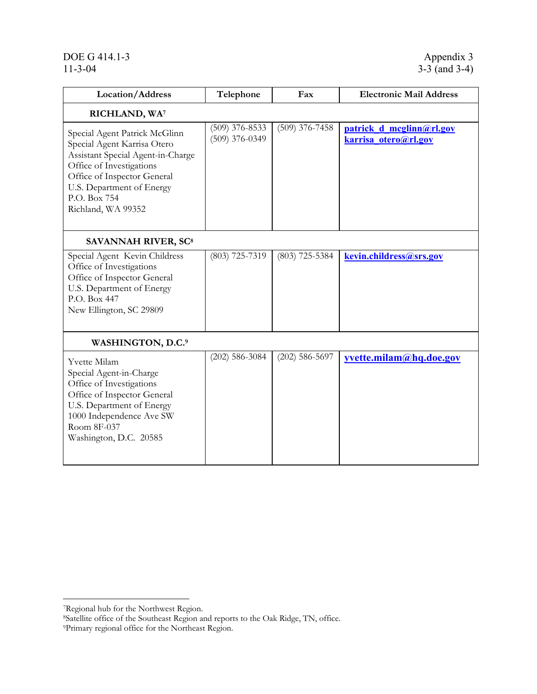# <span id="page-39-0"></span>DOE G 414.1-3<br>
11-3-04<br>
3-3 (and 3-4)

| Location/Address                                                                                                                                                                                                                | Telephone                            | Fax              | <b>Electronic Mail Address</b>                   |  |  |
|---------------------------------------------------------------------------------------------------------------------------------------------------------------------------------------------------------------------------------|--------------------------------------|------------------|--------------------------------------------------|--|--|
| RICHLAND, WA                                                                                                                                                                                                                    |                                      |                  |                                                  |  |  |
| Special Agent Patrick McGlinn<br>Special Agent Karrisa Otero<br>Assistant Special Agent-in-Charge<br>Office of Investigations<br>Office of Inspector General<br>U.S. Department of Energy<br>P.O. Box 754<br>Richland, WA 99352 | $(509)$ 376-8533<br>$(509)$ 376-0349 | $(509)$ 376-7458 | patrick d mcglinn@rl.gov<br>karrisa otero@rl.gov |  |  |
| <b>SAVANNAH RIVER, SC<sup>8</sup></b>                                                                                                                                                                                           |                                      |                  |                                                  |  |  |
| Special Agent Kevin Childress<br>Office of Investigations<br>Office of Inspector General<br>U.S. Department of Energy<br>P.O. Box 447<br>New Ellington, SC 29809                                                                | $(803)$ 725-7319                     | $(803)$ 725-5384 | kevin.childress@srs.gov                          |  |  |
| WASHINGTON, D.C. <sup>9</sup>                                                                                                                                                                                                   |                                      |                  |                                                  |  |  |
| Yvette Milam<br>Special Agent-in-Charge<br>Office of Investigations<br>Office of Inspector General<br>U.S. Department of Energy<br>1000 Independence Ave SW<br>Room 8F-037<br>Washington, D.C. 20585                            | $(202)$ 586-3084                     | $(202)$ 586-5697 | yvette.milam@hq.doe.gov                          |  |  |

 $\overline{a}$ 

<span id="page-39-2"></span><span id="page-39-1"></span><sup>7</sup>Regional hub for the Northwest Region.<br><sup>8</sup>Satellite office of the Southeast Region and reports to the Oak Ridge, TN, office.<br><sup>9</sup>Primary regional office for the Northeast Region.

<span id="page-39-3"></span>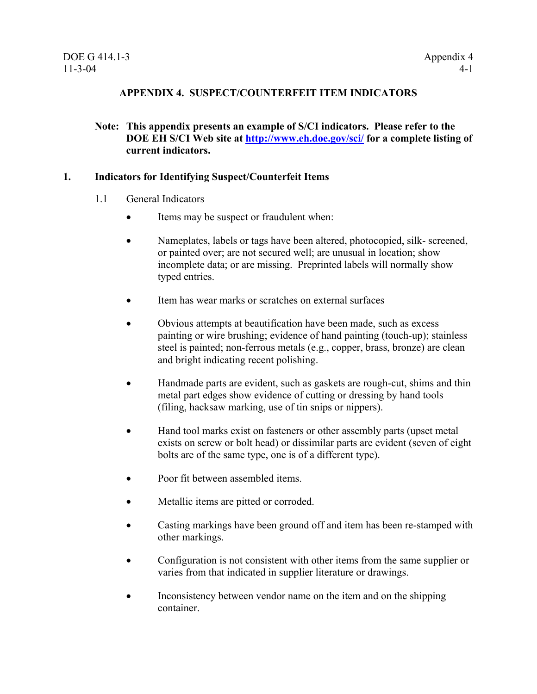# **APPENDIX 4. SUSPECT/COUNTERFEIT ITEM INDICATORS**

## **Note: This appendix presents an example of S/CI indicators. Please refer to the DOE EH S/CI Web site at <http://www.eh.doe.gov/sci/> for a complete listing of current indicators.**

#### **1. Indicators for Identifying Suspect/Counterfeit Items**

- 1.1 General Indicators
	- Items may be suspect or fraudulent when:
	- Nameplates, labels or tags have been altered, photocopied, silk- screened, or painted over; are not secured well; are unusual in location; show incomplete data; or are missing. Preprinted labels will normally show typed entries.
	- Item has wear marks or scratches on external surfaces
	- Obvious attempts at beautification have been made, such as excess painting or wire brushing; evidence of hand painting (touch-up); stainless steel is painted; non-ferrous metals (e.g., copper, brass, bronze) are clean and bright indicating recent polishing.
	- Handmade parts are evident, such as gaskets are rough-cut, shims and thin metal part edges show evidence of cutting or dressing by hand tools (filing, hacksaw marking, use of tin snips or nippers).
	- Hand tool marks exist on fasteners or other assembly parts (upset metal) exists on screw or bolt head) or dissimilar parts are evident (seven of eight bolts are of the same type, one is of a different type).
	- Poor fit between assembled items.
	- Metallic items are pitted or corroded.
	- Casting markings have been ground off and item has been re-stamped with other markings.
	- Configuration is not consistent with other items from the same supplier or varies from that indicated in supplier literature or drawings.
	- Inconsistency between vendor name on the item and on the shipping container.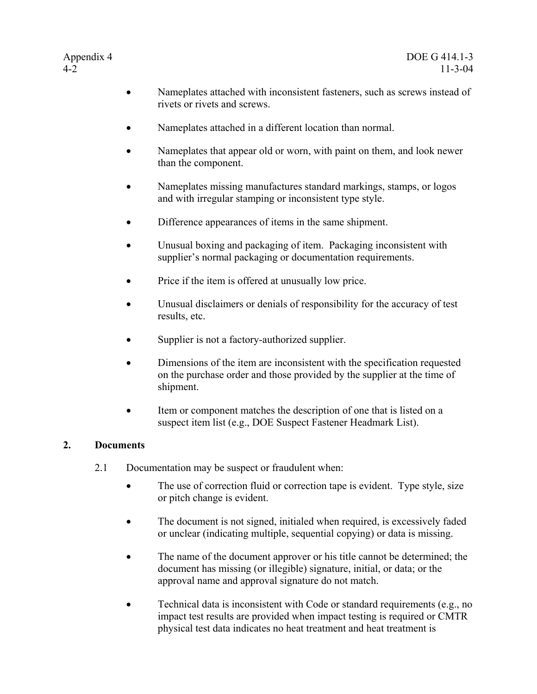- Nameplates attached with inconsistent fasteners, such as screws instead of rivets or rivets and screws.
- Nameplates attached in a different location than normal.
- Nameplates that appear old or worn, with paint on them, and look newer than the component.
- Nameplates missing manufactures standard markings, stamps, or logos and with irregular stamping or inconsistent type style.
- Difference appearances of items in the same shipment.
- Unusual boxing and packaging of item. Packaging inconsistent with supplier's normal packaging or documentation requirements.
- Price if the item is offered at unusually low price.
- Unusual disclaimers or denials of responsibility for the accuracy of test results, etc.
- Supplier is not a factory-authorized supplier.
- Dimensions of the item are inconsistent with the specification requested on the purchase order and those provided by the supplier at the time of shipment.
- Item or component matches the description of one that is listed on a suspect item list (e.g., DOE Suspect Fastener Headmark List).

# **2. Documents**

- 2.1 Documentation may be suspect or fraudulent when:
	- The use of correction fluid or correction tape is evident. Type style, size or pitch change is evident.
	- The document is not signed, initialed when required, is excessively faded or unclear (indicating multiple, sequential copying) or data is missing.
	- The name of the document approver or his title cannot be determined; the document has missing (or illegible) signature, initial, or data; or the approval name and approval signature do not match.
	- Technical data is inconsistent with Code or standard requirements (e.g., no impact test results are provided when impact testing is required or CMTR physical test data indicates no heat treatment and heat treatment is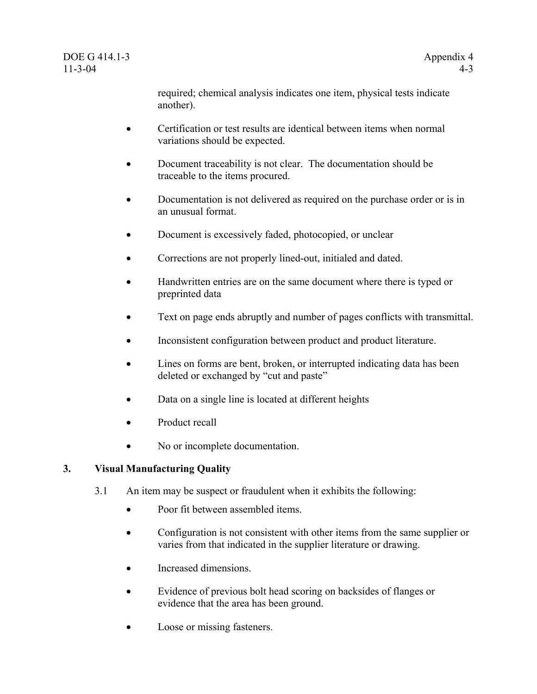required; chemical analysis indicates one item, physical tests indicate another).

- <span id="page-42-0"></span>• Certification or test results are identical between items when normal variations should be expected.
- Document traceability is not clear. The documentation should be traceable to the items procured.
- Documentation is not delivered as required on the purchase order or is in an unusual format.
- Document is excessively faded, photocopied, or unclear
- Corrections are not properly lined-out, initialed and dated.
- Handwritten entries are on the same document where there is typed or preprinted data
- Text on page ends abruptly and number of pages conflicts with transmittal.
- Inconsistent configuration between product and product literature.
- Lines on forms are bent, broken, or interrupted indicating data has been deleted or exchanged by "cut and paste"
- Data on a single line is located at different heights
- Product recall
- No or incomplete documentation.

# **3. Visual Manufacturing Quality**

- 3.1 An item may be suspect or fraudulent when it exhibits the following:
	- Poor fit between assembled items
	- Configuration is not consistent with other items from the same supplier or varies from that indicated in the supplier literature or drawing.
	- Increased dimensions.
	- Evidence of previous bolt head scoring on backsides of flanges or evidence that the area has been ground.
	- Loose or missing fasteners.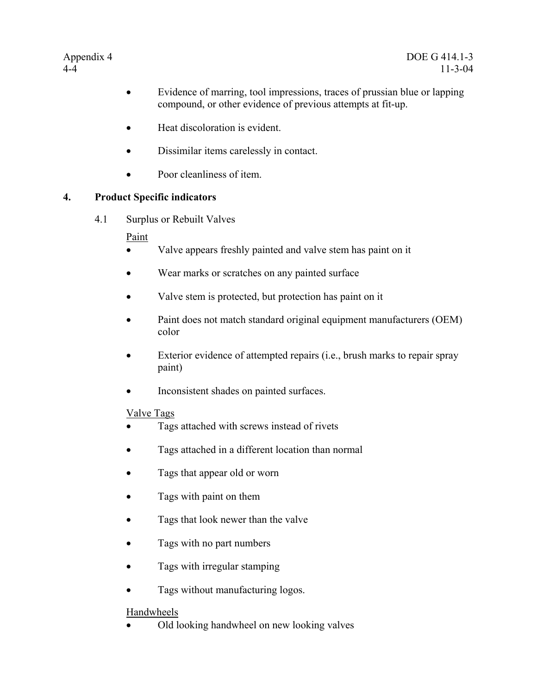- Evidence of marring, tool impressions, traces of prussian blue or lapping compound, or other evidence of previous attempts at fit-up.
- Heat discoloration is evident.
- Dissimilar items carelessly in contact.
- Poor cleanliness of item.

# **4. Product Specific indicators**

4.1 Surplus or Rebuilt Valves

# Paint

- Valve appears freshly painted and valve stem has paint on it
- Wear marks or scratches on any painted surface
- Valve stem is protected, but protection has paint on it
- Paint does not match standard original equipment manufacturers (OEM) color
- Exterior evidence of attempted repairs (i.e., brush marks to repair spray paint)
- Inconsistent shades on painted surfaces.

# Valve Tags

- Tags attached with screws instead of rivets
- Tags attached in a different location than normal
- Tags that appear old or worn
- Tags with paint on them
- Tags that look newer than the valve
- Tags with no part numbers
- Tags with irregular stamping
- Tags without manufacturing logos.

# Handwheels

• Old looking handwheel on new looking valves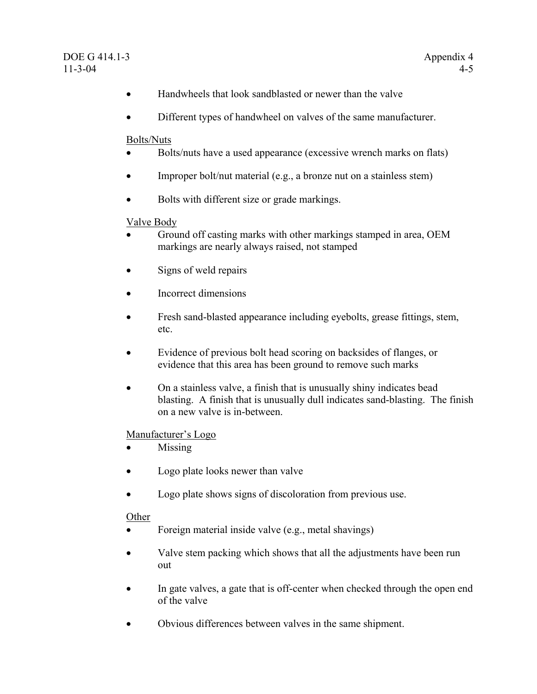- Handwheels that look sandblasted or newer than the valve
- Different types of handwheel on valves of the same manufacturer.

#### Bolts/Nuts

- Bolts/nuts have a used appearance (excessive wrench marks on flats)
- Improper bolt/nut material (e.g., a bronze nut on a stainless stem)
- Bolts with different size or grade markings.

### Valve Body

- Ground off casting marks with other markings stamped in area, OEM markings are nearly always raised, not stamped
- Signs of weld repairs
- Incorrect dimensions
- Fresh sand-blasted appearance including eyebolts, grease fittings, stem, etc.
- Evidence of previous bolt head scoring on backsides of flanges, or evidence that this area has been ground to remove such marks
- On a stainless valve, a finish that is unusually shiny indicates bead blasting. A finish that is unusually dull indicates sand-blasting. The finish on a new valve is in-between.

#### Manufacturer's Logo

- Missing
- Logo plate looks newer than valve
- Logo plate shows signs of discoloration from previous use.

# Other

- Foreign material inside valve (e.g., metal shavings)
- Valve stem packing which shows that all the adjustments have been run out
- In gate valves, a gate that is off-center when checked through the open end of the valve
- Obvious differences between valves in the same shipment.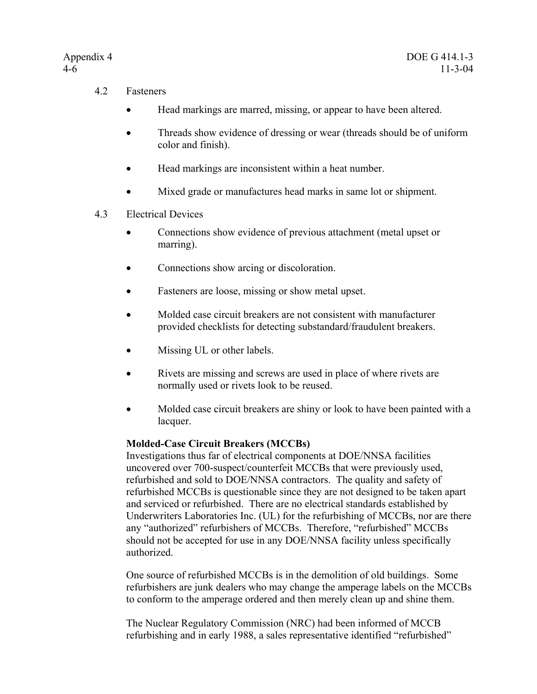- 4.2 Fasteners
	- Head markings are marred, missing, or appear to have been altered.
	- Threads show evidence of dressing or wear (threads should be of uniform color and finish).
	- Head markings are inconsistent within a heat number.
	- Mixed grade or manufactures head marks in same lot or shipment.
- 4.3 Electrical Devices
	- Connections show evidence of previous attachment (metal upset or marring).
	- Connections show arcing or discoloration.
	- Fasteners are loose, missing or show metal upset.
	- Molded case circuit breakers are not consistent with manufacturer provided checklists for detecting substandard/fraudulent breakers.
	- Missing UL or other labels.
	- Rivets are missing and screws are used in place of where rivets are normally used or rivets look to be reused.
	- Molded case circuit breakers are shiny or look to have been painted with a lacquer.

# **Molded-Case Circuit Breakers (MCCBs)**

Investigations thus far of electrical components at DOE/NNSA facilities uncovered over 700-suspect/counterfeit MCCBs that were previously used, refurbished and sold to DOE/NNSA contractors. The quality and safety of refurbished MCCBs is questionable since they are not designed to be taken apart and serviced or refurbished. There are no electrical standards established by Underwriters Laboratories Inc. (UL) for the refurbishing of MCCBs, nor are there any "authorized" refurbishers of MCCBs. Therefore, "refurbished" MCCBs should not be accepted for use in any DOE/NNSA facility unless specifically authorized.

One source of refurbished MCCBs is in the demolition of old buildings. Some refurbishers are junk dealers who may change the amperage labels on the MCCBs to conform to the amperage ordered and then merely clean up and shine them.

The Nuclear Regulatory Commission (NRC) had been informed of MCCB refurbishing and in early 1988, a sales representative identified "refurbished"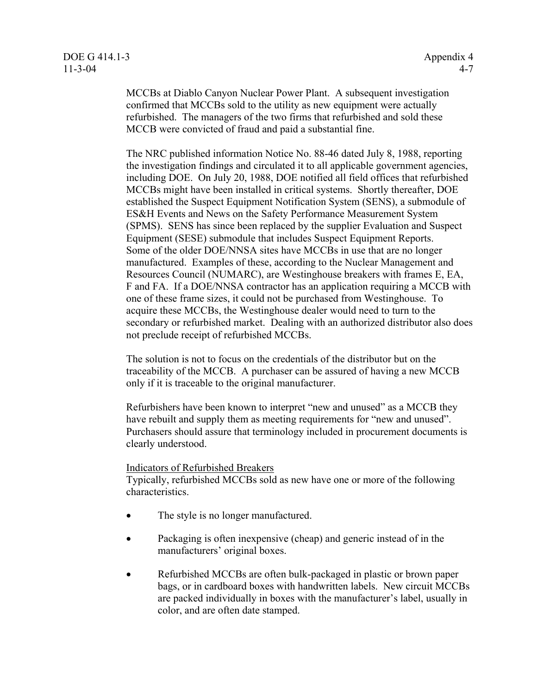MCCBs at Diablo Canyon Nuclear Power Plant. A subsequent investigation confirmed that MCCBs sold to the utility as new equipment were actually refurbished. The managers of the two firms that refurbished and sold these MCCB were convicted of fraud and paid a substantial fine.

The NRC published information Notice No. 88-46 dated July 8, 1988, reporting the investigation findings and circulated it to all applicable government agencies, including DOE. On July 20, 1988, DOE notified all field offices that refurbished MCCBs might have been installed in critical systems. Shortly thereafter, DOE established the Suspect Equipment Notification System (SENS), a submodule of ES&H Events and News on the Safety Performance Measurement System (SPMS). SENS has since been replaced by the supplier Evaluation and Suspect Equipment (SESE) submodule that includes Suspect Equipment Reports. Some of the older DOE/NNSA sites have MCCBs in use that are no longer manufactured. Examples of these, according to the Nuclear Management and Resources Council (NUMARC), are Westinghouse breakers with frames E, EA, F and FA. If a DOE/NNSA contractor has an application requiring a MCCB with one of these frame sizes, it could not be purchased from Westinghouse. To acquire these MCCBs, the Westinghouse dealer would need to turn to the secondary or refurbished market. Dealing with an authorized distributor also does not preclude receipt of refurbished MCCBs.

The solution is not to focus on the credentials of the distributor but on the traceability of the MCCB. A purchaser can be assured of having a new MCCB only if it is traceable to the original manufacturer.

Refurbishers have been known to interpret "new and unused" as a MCCB they have rebuilt and supply them as meeting requirements for "new and unused". Purchasers should assure that terminology included in procurement documents is clearly understood.

#### Indicators of Refurbished Breakers

Typically, refurbished MCCBs sold as new have one or more of the following characteristics.

- The style is no longer manufactured.
- Packaging is often inexpensive (cheap) and generic instead of in the manufacturers' original boxes.
- Refurbished MCCBs are often bulk-packaged in plastic or brown paper bags, or in cardboard boxes with handwritten labels. New circuit MCCBs are packed individually in boxes with the manufacturer's label, usually in color, and are often date stamped.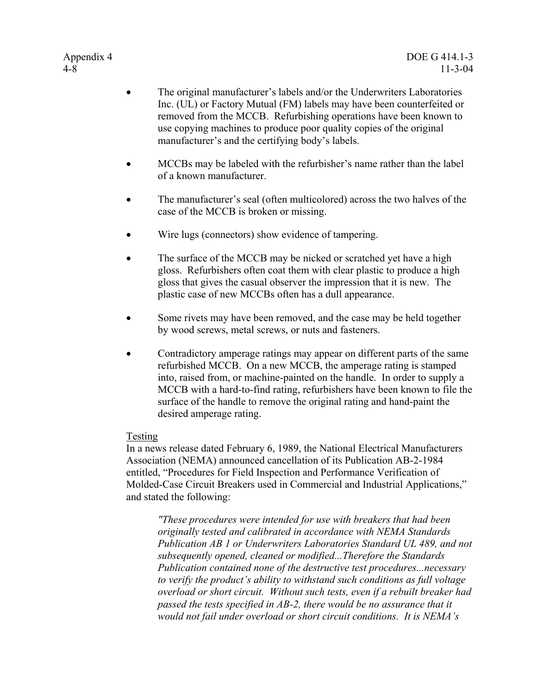- The original manufacturer's labels and/or the Underwriters Laboratories Inc. (UL) or Factory Mutual (FM) labels may have been counterfeited or removed from the MCCB. Refurbishing operations have been known to use copying machines to produce poor quality copies of the original manufacturer's and the certifying body's labels.
- MCCBs may be labeled with the refurbisher's name rather than the label of a known manufacturer.
- The manufacturer's seal (often multicolored) across the two halves of the case of the MCCB is broken or missing.
- Wire lugs (connectors) show evidence of tampering.
- The surface of the MCCB may be nicked or scratched yet have a high gloss. Refurbishers often coat them with clear plastic to produce a high gloss that gives the casual observer the impression that it is new. The plastic case of new MCCBs often has a dull appearance.
- Some rivets may have been removed, and the case may be held together by wood screws, metal screws, or nuts and fasteners.
- Contradictory amperage ratings may appear on different parts of the same refurbished MCCB. On a new MCCB, the amperage rating is stamped into, raised from, or machine-painted on the handle. In order to supply a MCCB with a hard-to-find rating, refurbishers have been known to file the surface of the handle to remove the original rating and hand-paint the desired amperage rating.

#### Testing

In a news release dated February 6, 1989, the National Electrical Manufacturers Association (NEMA) announced cancellation of its Publication AB-2-1984 entitled, "Procedures for Field Inspection and Performance Verification of Molded-Case Circuit Breakers used in Commercial and Industrial Applications," and stated the following:

*"These procedures were intended for use with breakers that had been originally tested and calibrated in accordance with NEMA Standards Publication AB 1 or Underwriters Laboratories Standard UL 489, and not subsequently opened, cleaned or modified...Therefore the Standards Publication contained none of the destructive test procedures...necessary to verify the product's ability to withstand such conditions as full voltage overload or short circuit. Without such tests, even if a rebuilt breaker had passed the tests specified in AB-2, there would be no assurance that it would not fail under overload or short circuit conditions. It is NEMA's*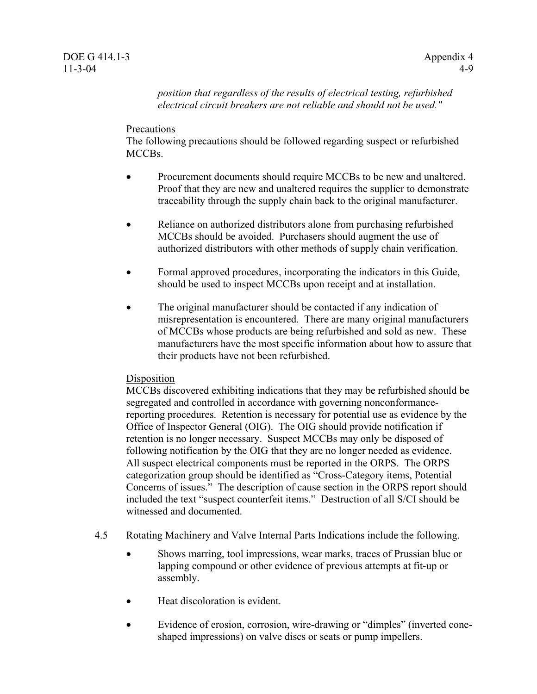*position that regardless of the results of electrical testing, refurbished electrical circuit breakers are not reliable and should not be used."* 

#### **Precautions**

The following precautions should be followed regarding suspect or refurbished MCCBs.

- Procurement documents should require MCCBs to be new and unaltered. Proof that they are new and unaltered requires the supplier to demonstrate traceability through the supply chain back to the original manufacturer.
- Reliance on authorized distributors alone from purchasing refurbished MCCBs should be avoided. Purchasers should augment the use of authorized distributors with other methods of supply chain verification.
- Formal approved procedures, incorporating the indicators in this Guide, should be used to inspect MCCBs upon receipt and at installation.
- The original manufacturer should be contacted if any indication of misrepresentation is encountered. There are many original manufacturers of MCCBs whose products are being refurbished and sold as new. These manufacturers have the most specific information about how to assure that their products have not been refurbished.

#### Disposition

MCCBs discovered exhibiting indications that they may be refurbished should be segregated and controlled in accordance with governing nonconformancereporting procedures. Retention is necessary for potential use as evidence by the Office of Inspector General (OIG). The OIG should provide notification if retention is no longer necessary. Suspect MCCBs may only be disposed of following notification by the OIG that they are no longer needed as evidence. All suspect electrical components must be reported in the ORPS. The ORPS categorization group should be identified as "Cross-Category items, Potential Concerns of issues." The description of cause section in the ORPS report should included the text "suspect counterfeit items." Destruction of all S/CI should be witnessed and documented.

- 4.5 Rotating Machinery and Valve Internal Parts Indications include the following.
	- Shows marring, tool impressions, wear marks, traces of Prussian blue or lapping compound or other evidence of previous attempts at fit-up or assembly.
	- Heat discoloration is evident.
	- Evidence of erosion, corrosion, wire-drawing or "dimples" (inverted coneshaped impressions) on valve discs or seats or pump impellers.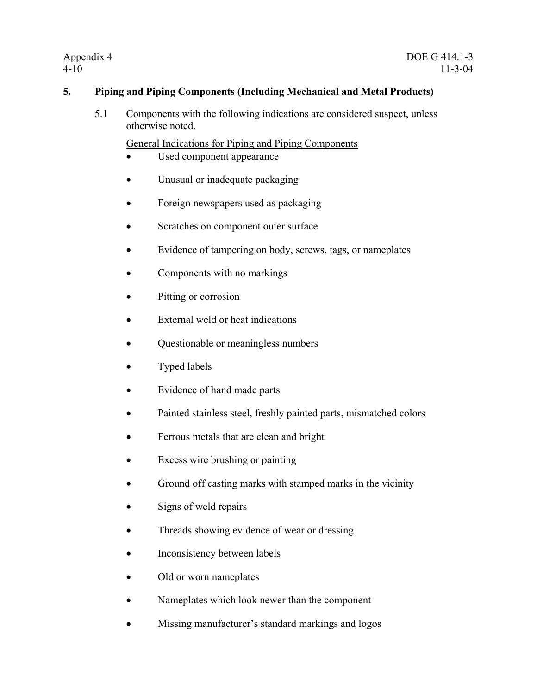# **5. Piping and Piping Components (Including Mechanical and Metal Products)**

5.1 Components with the following indications are considered suspect, unless otherwise noted.

General Indications for Piping and Piping Components

- Used component appearance
- Unusual or inadequate packaging
- Foreign newspapers used as packaging
- Scratches on component outer surface
- Evidence of tampering on body, screws, tags, or nameplates
- Components with no markings
- Pitting or corrosion
- External weld or heat indications
- Questionable or meaningless numbers
- Typed labels
- Evidence of hand made parts
- Painted stainless steel, freshly painted parts, mismatched colors
- Ferrous metals that are clean and bright
- Excess wire brushing or painting
- Ground off casting marks with stamped marks in the vicinity
- Signs of weld repairs
- Threads showing evidence of wear or dressing
- Inconsistency between labels
- Old or worn nameplates
- Nameplates which look newer than the component
- Missing manufacturer's standard markings and logos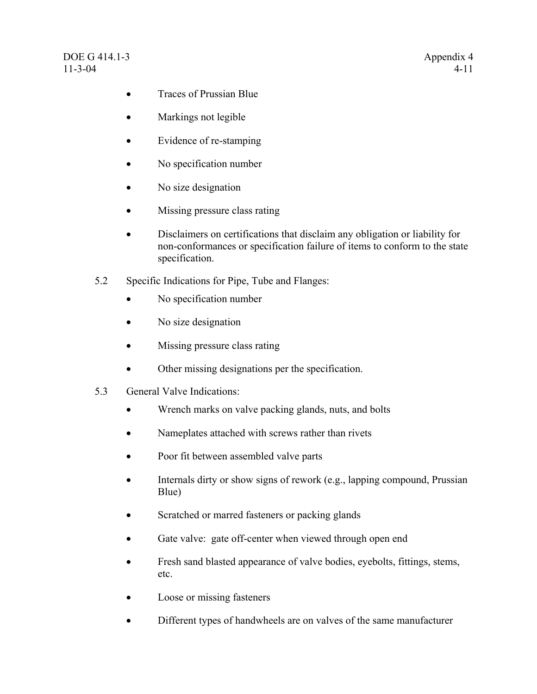- Traces of Prussian Blue
- Markings not legible
- Evidence of re-stamping
- No specification number
- No size designation
- Missing pressure class rating
- Disclaimers on certifications that disclaim any obligation or liability for non-conformances or specification failure of items to conform to the state specification.
- 5.2 Specific Indications for Pipe, Tube and Flanges:
	- No specification number
	- No size designation
	- Missing pressure class rating
	- Other missing designations per the specification.
- 5.3 General Valve Indications:
	- Wrench marks on valve packing glands, nuts, and bolts
	- Nameplates attached with screws rather than rivets
	- Poor fit between assembled valve parts
	- Internals dirty or show signs of rework (e.g., lapping compound, Prussian Blue)
	- Scratched or marred fasteners or packing glands
	- Gate valve: gate off-center when viewed through open end
	- Fresh sand blasted appearance of valve bodies, eyebolts, fittings, stems, etc.
	- Loose or missing fasteners
	- Different types of handwheels are on valves of the same manufacturer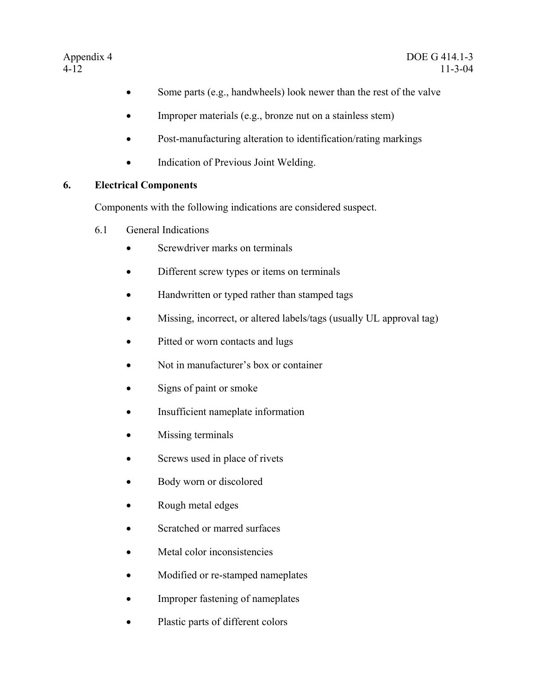- Some parts (e.g., handwheels) look newer than the rest of the valve
- Improper materials (e.g., bronze nut on a stainless stem)
- Post-manufacturing alteration to identification/rating markings
- Indication of Previous Joint Welding.

# **6. Electrical Components**

Components with the following indications are considered suspect.

- 6.1 General Indications
	- Screwdriver marks on terminals
	- Different screw types or items on terminals
	- Handwritten or typed rather than stamped tags
	- Missing, incorrect, or altered labels/tags (usually UL approval tag)
	- Pitted or worn contacts and lugs
	- Not in manufacturer's box or container
	- Signs of paint or smoke
	- Insufficient nameplate information
	- Missing terminals
	- Screws used in place of rivets
	- Body worn or discolored
	- Rough metal edges
	- Scratched or marred surfaces
	- Metal color inconsistencies
	- Modified or re-stamped nameplates
	- Improper fastening of nameplates
	- Plastic parts of different colors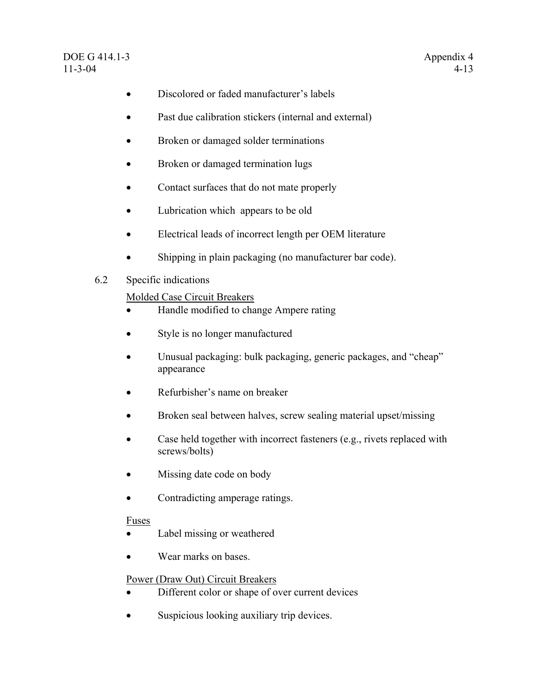- Discolored or faded manufacturer's labels
- Past due calibration stickers (internal and external)
- Broken or damaged solder terminations
- Broken or damaged termination lugs
- Contact surfaces that do not mate properly
- Lubrication which appears to be old
- Electrical leads of incorrect length per OEM literature
- Shipping in plain packaging (no manufacturer bar code).

### 6.2 Specific indications

### Molded Case Circuit Breakers

- Handle modified to change Ampere rating
- Style is no longer manufactured
- Unusual packaging: bulk packaging, generic packages, and "cheap" appearance
- Refurbisher's name on breaker
- Broken seal between halves, screw sealing material upset/missing
- Case held together with incorrect fasteners (e.g., rivets replaced with screws/bolts)
- Missing date code on body
- Contradicting amperage ratings.

#### Fuses

- Label missing or weathered
- Wear marks on bases.

# Power (Draw Out) Circuit Breakers

- Different color or shape of over current devices
- Suspicious looking auxiliary trip devices.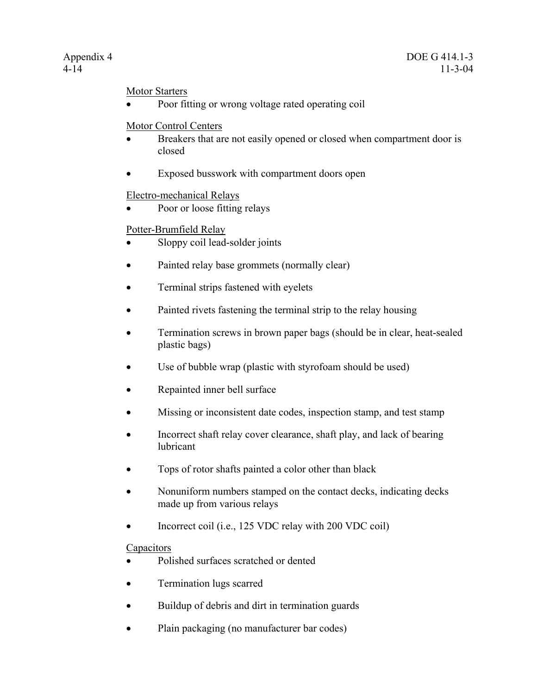### Motor Starters

• Poor fitting or wrong voltage rated operating coil

### Motor Control Centers

- Breakers that are not easily opened or closed when compartment door is closed
- Exposed busswork with compartment doors open

### Electro-mechanical Relays

Poor or loose fitting relays

### Potter-Brumfield Relay

- Sloppy coil lead-solder joints
- Painted relay base grommets (normally clear)
- Terminal strips fastened with eyelets
- Painted rivets fastening the terminal strip to the relay housing
- Termination screws in brown paper bags (should be in clear, heat-sealed plastic bags)
- Use of bubble wrap (plastic with styrofoam should be used)
- Repainted inner bell surface
- Missing or inconsistent date codes, inspection stamp, and test stamp
- Incorrect shaft relay cover clearance, shaft play, and lack of bearing lubricant
- Tops of rotor shafts painted a color other than black
- Nonuniform numbers stamped on the contact decks, indicating decks made up from various relays
- Incorrect coil (i.e., 125 VDC relay with 200 VDC coil)

# **Capacitors**

- Polished surfaces scratched or dented
- Termination lugs scarred
- Buildup of debris and dirt in termination guards
- Plain packaging (no manufacturer bar codes)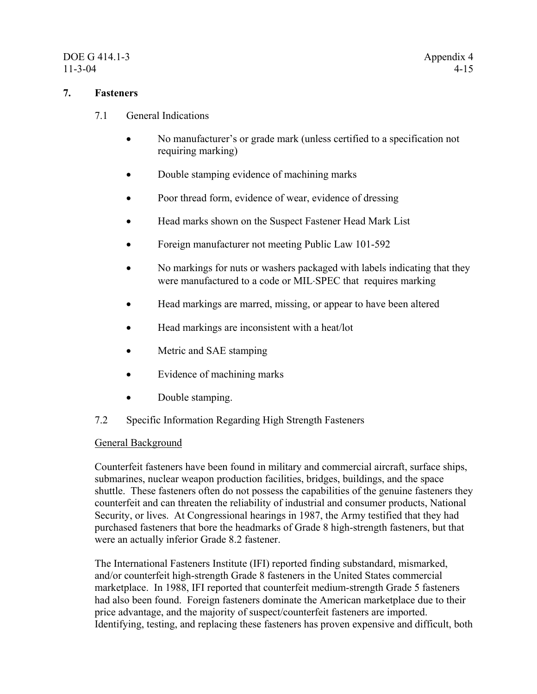# DOE G 414.1-3 Appendix 4 11-3-04 4-15

### **7. Fasteners**

- 7.1 General Indications
	- No manufacturer's or grade mark (unless certified to a specification not requiring marking)
	- Double stamping evidence of machining marks
	- Poor thread form, evidence of wear, evidence of dressing
	- Head marks shown on the Suspect Fastener Head Mark List
	- Foreign manufacturer not meeting Public Law 101-592
	- No markings for nuts or washers packaged with labels indicating that they were manufactured to a code or MIL⋅SPEC that requires marking
	- Head markings are marred, missing, or appear to have been altered
	- Head markings are inconsistent with a heat/lot
	- Metric and SAE stamping
	- Evidence of machining marks
	- Double stamping.
- 7.2 Specific Information Regarding High Strength Fasteners

#### General Background

Counterfeit fasteners have been found in military and commercial aircraft, surface ships, submarines, nuclear weapon production facilities, bridges, buildings, and the space shuttle. These fasteners often do not possess the capabilities of the genuine fasteners they counterfeit and can threaten the reliability of industrial and consumer products, National Security, or lives. At Congressional hearings in 1987, the Army testified that they had purchased fasteners that bore the headmarks of Grade 8 high-strength fasteners, but that were an actually inferior Grade 8.2 fastener.

The International Fasteners Institute (IFI) reported finding substandard, mismarked, and/or counterfeit high-strength Grade 8 fasteners in the United States commercial marketplace. In 1988, IFI reported that counterfeit medium-strength Grade 5 fasteners had also been found. Foreign fasteners dominate the American marketplace due to their price advantage, and the majority of suspect/counterfeit fasteners are imported. Identifying, testing, and replacing these fasteners has proven expensive and difficult, both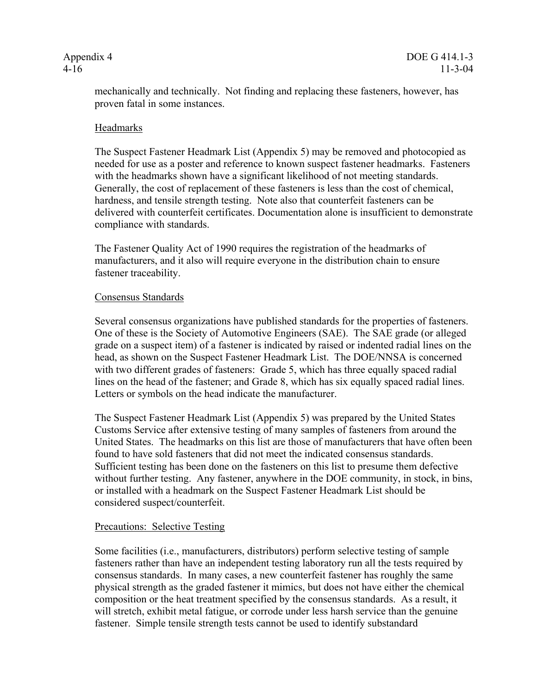mechanically and technically. Not finding and replacing these fasteners, however, has proven fatal in some instances.

#### Headmarks

The Suspect Fastener Headmark List (Appendix 5) may be removed and photocopied as needed for use as a poster and reference to known suspect fastener headmarks. Fasteners with the headmarks shown have a significant likelihood of not meeting standards. Generally, the cost of replacement of these fasteners is less than the cost of chemical, hardness, and tensile strength testing. Note also that counterfeit fasteners can be delivered with counterfeit certificates. Documentation alone is insufficient to demonstrate compliance with standards.

The Fastener Quality Act of 1990 requires the registration of the headmarks of manufacturers, and it also will require everyone in the distribution chain to ensure fastener traceability.

#### Consensus Standards

Several consensus organizations have published standards for the properties of fasteners. One of these is the Society of Automotive Engineers (SAE). The SAE grade (or alleged grade on a suspect item) of a fastener is indicated by raised or indented radial lines on the head, as shown on the Suspect Fastener Headmark List. The DOE/NNSA is concerned with two different grades of fasteners: Grade 5, which has three equally spaced radial lines on the head of the fastener; and Grade 8, which has six equally spaced radial lines. Letters or symbols on the head indicate the manufacturer.

The Suspect Fastener Headmark List (Appendix 5) was prepared by the United States Customs Service after extensive testing of many samples of fasteners from around the United States. The headmarks on this list are those of manufacturers that have often been found to have sold fasteners that did not meet the indicated consensus standards. Sufficient testing has been done on the fasteners on this list to presume them defective without further testing. Any fastener, anywhere in the DOE community, in stock, in bins, or installed with a headmark on the Suspect Fastener Headmark List should be considered suspect/counterfeit.

#### Precautions: Selective Testing

Some facilities (i.e., manufacturers, distributors) perform selective testing of sample fasteners rather than have an independent testing laboratory run all the tests required by consensus standards. In many cases, a new counterfeit fastener has roughly the same physical strength as the graded fastener it mimics, but does not have either the chemical composition or the heat treatment specified by the consensus standards. As a result, it will stretch, exhibit metal fatigue, or corrode under less harsh service than the genuine fastener. Simple tensile strength tests cannot be used to identify substandard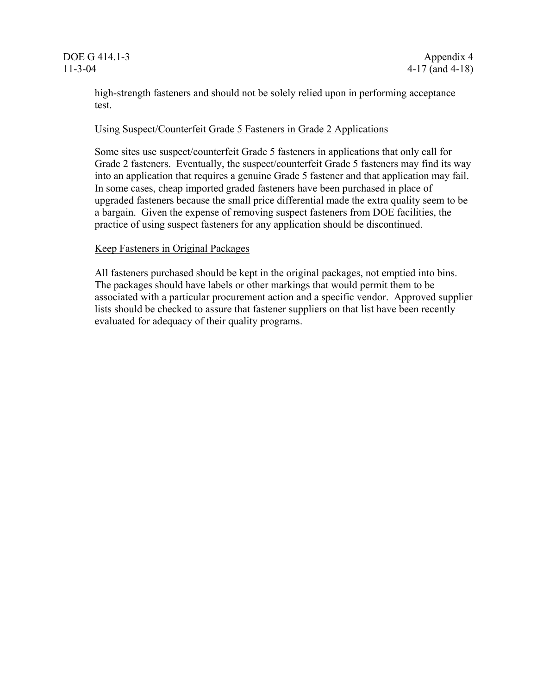high-strength fasteners and should not be solely relied upon in performing acceptance test.

#### Using Suspect/Counterfeit Grade 5 Fasteners in Grade 2 Applications

Some sites use suspect/counterfeit Grade 5 fasteners in applications that only call for Grade 2 fasteners. Eventually, the suspect/counterfeit Grade 5 fasteners may find its way into an application that requires a genuine Grade 5 fastener and that application may fail. In some cases, cheap imported graded fasteners have been purchased in place of upgraded fasteners because the small price differential made the extra quality seem to be a bargain. Given the expense of removing suspect fasteners from DOE facilities, the practice of using suspect fasteners for any application should be discontinued.

#### Keep Fasteners in Original Packages

All fasteners purchased should be kept in the original packages, not emptied into bins. The packages should have labels or other markings that would permit them to be associated with a particular procurement action and a specific vendor. Approved supplier lists should be checked to assure that fastener suppliers on that list have been recently evaluated for adequacy of their quality programs.